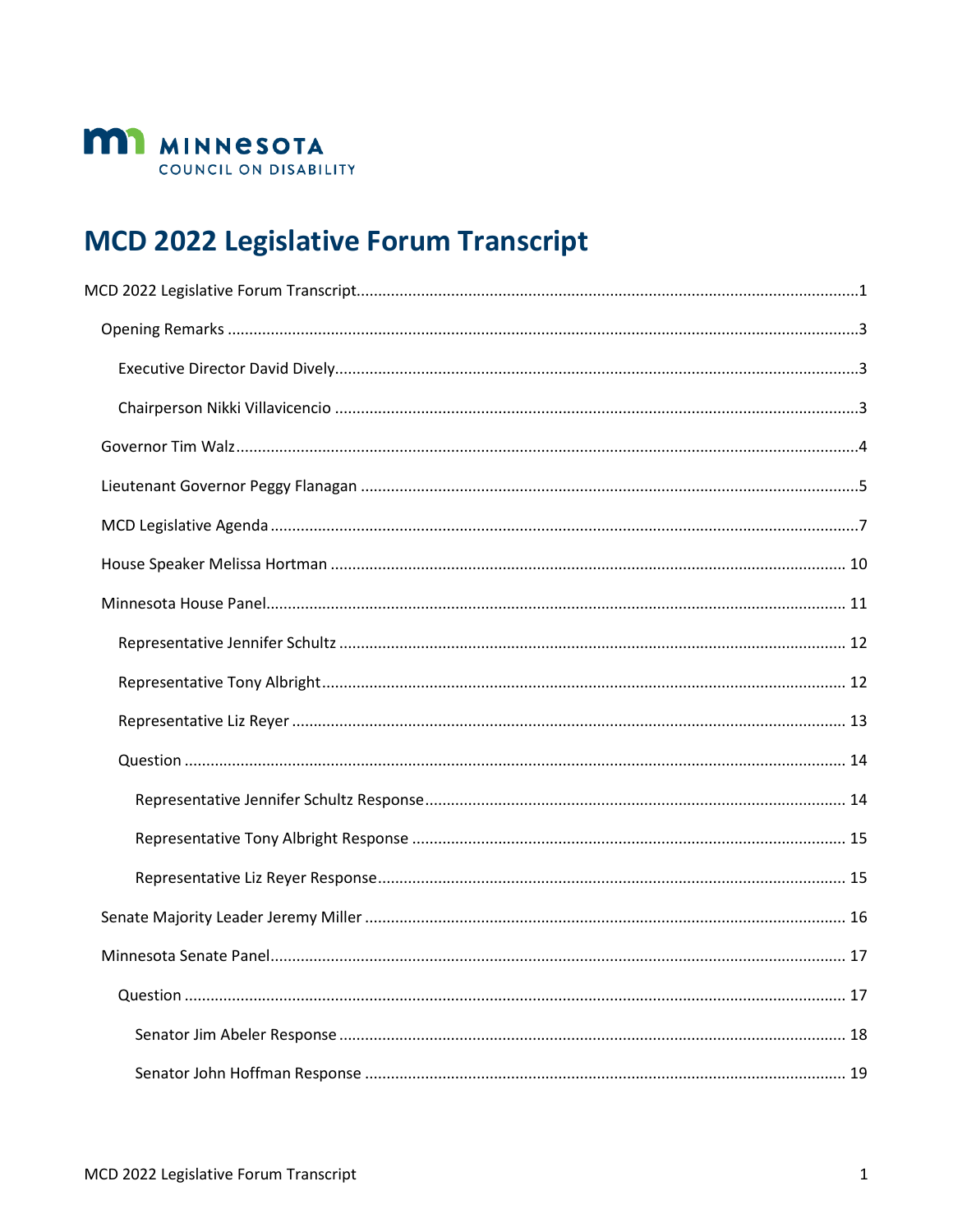

# <span id="page-0-0"></span>**MCD 2022 Legislative Forum Transcript**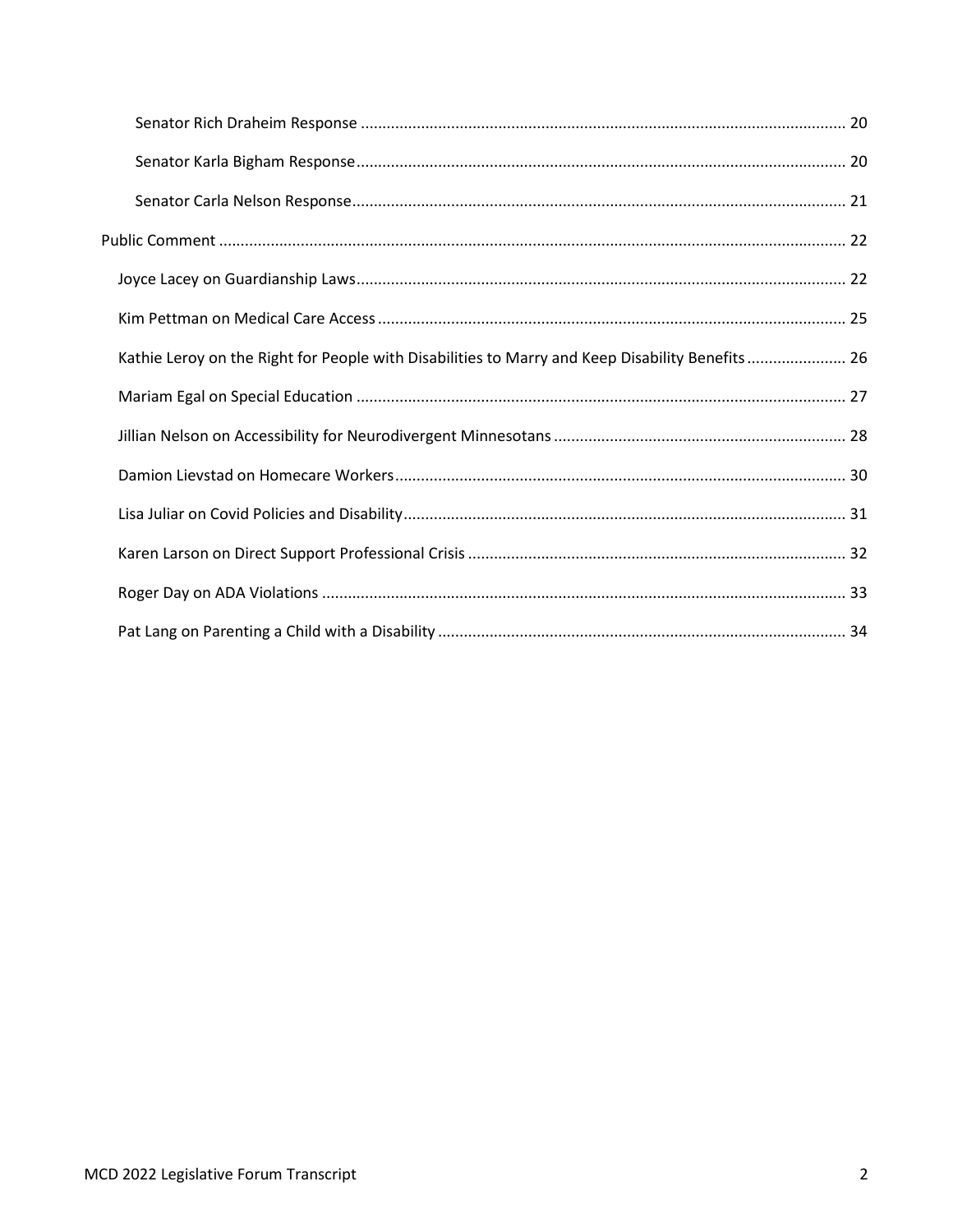| Kathie Leroy on the Right for People with Disabilities to Marry and Keep Disability Benefits 26 |  |
|-------------------------------------------------------------------------------------------------|--|
|                                                                                                 |  |
|                                                                                                 |  |
|                                                                                                 |  |
|                                                                                                 |  |
|                                                                                                 |  |
|                                                                                                 |  |
|                                                                                                 |  |
|                                                                                                 |  |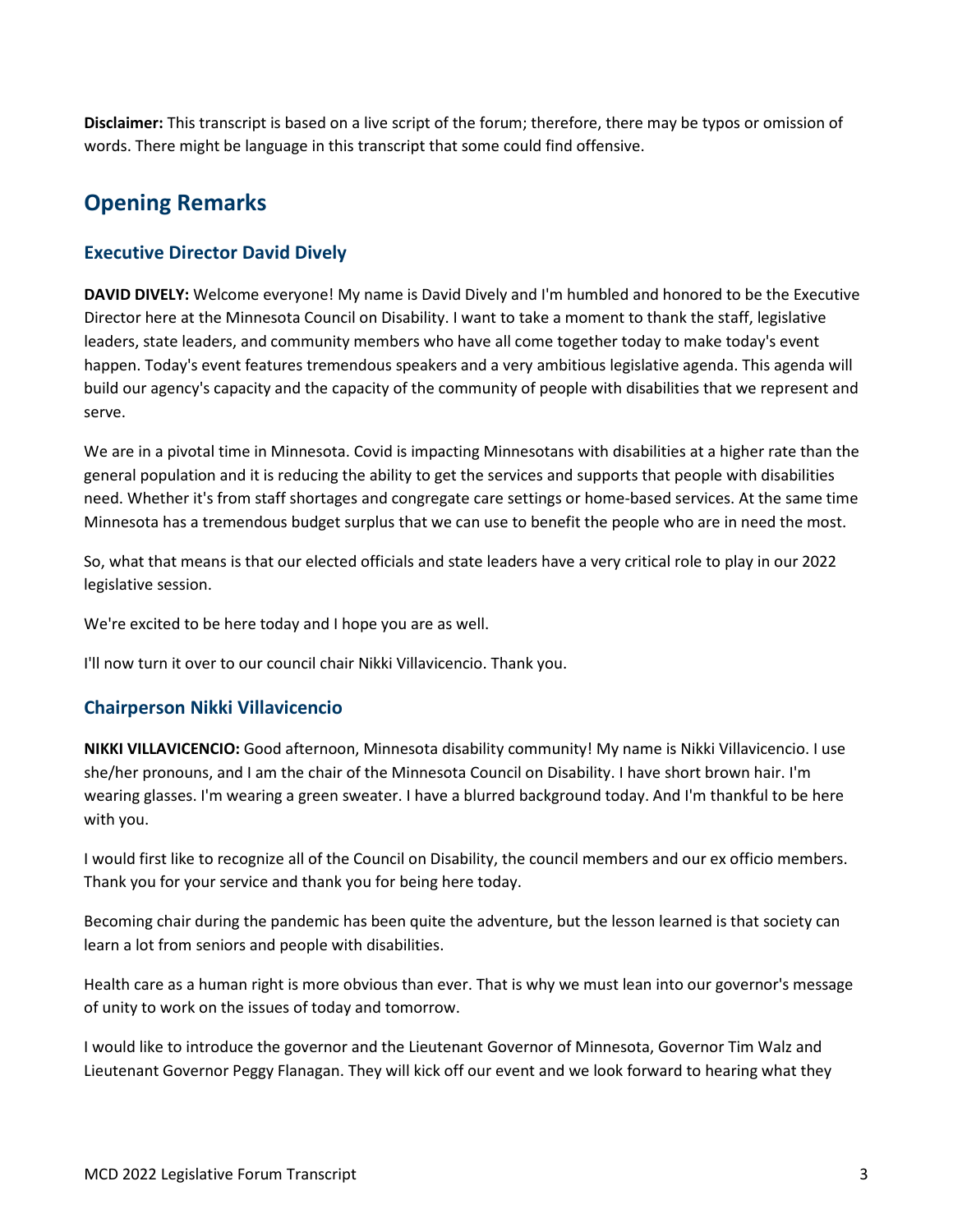**Disclaimer:** This transcript is based on a live script of the forum; therefore, there may be typos or omission of words. There might be language in this transcript that some could find offensive.

## <span id="page-2-0"></span>**Opening Remarks**

## <span id="page-2-1"></span>**Executive Director David Dively**

**DAVID DIVELY:** Welcome everyone! My name is David Dively and I'm humbled and honored to be the Executive Director here at the Minnesota Council on Disability. I want to take a moment to thank the staff, legislative leaders, state leaders, and community members who have all come together today to make today's event happen. Today's event features tremendous speakers and a very ambitious legislative agenda. This agenda will build our agency's capacity and the capacity of the community of people with disabilities that we represent and serve.

We are in a pivotal time in Minnesota. Covid is impacting Minnesotans with disabilities at a higher rate than the general population and it is reducing the ability to get the services and supports that people with disabilities need. Whether it's from staff shortages and congregate care settings or home-based services. At the same time Minnesota has a tremendous budget surplus that we can use to benefit the people who are in need the most.

So, what that means is that our elected officials and state leaders have a very critical role to play in our 2022 legislative session.

We're excited to be here today and I hope you are as well.

I'll now turn it over to our council chair Nikki Villavicencio. Thank you.

## <span id="page-2-2"></span>**Chairperson Nikki Villavicencio**

**NIKKI VILLAVICENCIO:** Good afternoon, Minnesota disability community! My name is Nikki Villavicencio. I use she/her pronouns, and I am the chair of the Minnesota Council on Disability. I have short brown hair. I'm wearing glasses. I'm wearing a green sweater. I have a blurred background today. And I'm thankful to be here with you.

I would first like to recognize all of the Council on Disability, the council members and our ex officio members. Thank you for your service and thank you for being here today.

Becoming chair during the pandemic has been quite the adventure, but the lesson learned is that society can learn a lot from seniors and people with disabilities.

Health care as a human right is more obvious than ever. That is why we must lean into our governor's message of unity to work on the issues of today and tomorrow.

I would like to introduce the governor and the Lieutenant Governor of Minnesota, Governor Tim Walz and Lieutenant Governor Peggy Flanagan. They will kick off our event and we look forward to hearing what they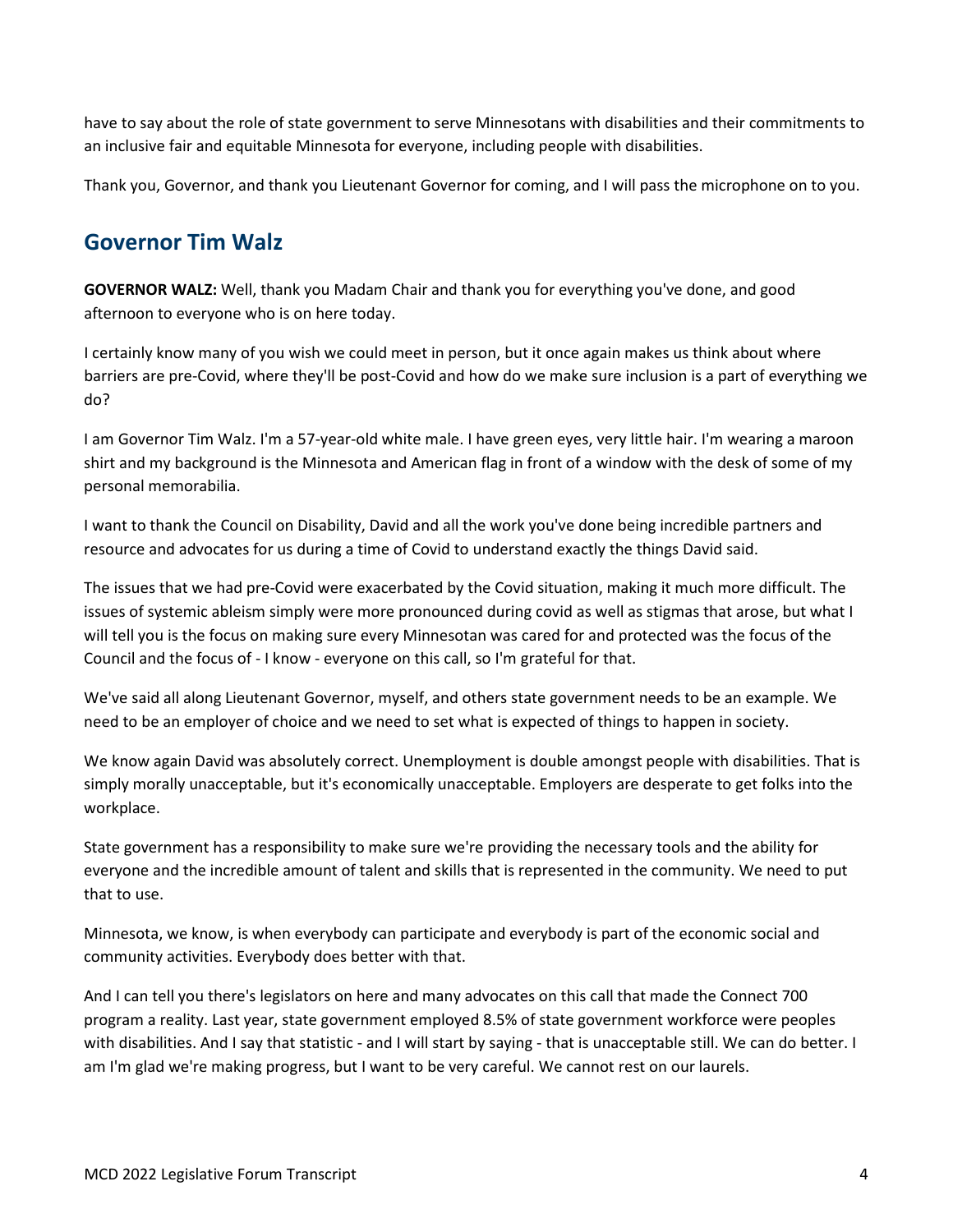have to say about the role of state government to serve Minnesotans with disabilities and their commitments to an inclusive fair and equitable Minnesota for everyone, including people with disabilities.

Thank you, Governor, and thank you Lieutenant Governor for coming, and I will pass the microphone on to you.

## <span id="page-3-0"></span>**Governor Tim Walz**

**GOVERNOR WALZ:** Well, thank you Madam Chair and thank you for everything you've done, and good afternoon to everyone who is on here today.

I certainly know many of you wish we could meet in person, but it once again makes us think about where barriers are pre-Covid, where they'll be post-Covid and how do we make sure inclusion is a part of everything we do?

I am Governor Tim Walz. I'm a 57-year-old white male. I have green eyes, very little hair. I'm wearing a maroon shirt and my background is the Minnesota and American flag in front of a window with the desk of some of my personal memorabilia.

I want to thank the Council on Disability, David and all the work you've done being incredible partners and resource and advocates for us during a time of Covid to understand exactly the things David said.

The issues that we had pre-Covid were exacerbated by the Covid situation, making it much more difficult. The issues of systemic ableism simply were more pronounced during covid as well as stigmas that arose, but what I will tell you is the focus on making sure every Minnesotan was cared for and protected was the focus of the Council and the focus of - I know - everyone on this call, so I'm grateful for that.

We've said all along Lieutenant Governor, myself, and others state government needs to be an example. We need to be an employer of choice and we need to set what is expected of things to happen in society.

We know again David was absolutely correct. Unemployment is double amongst people with disabilities. That is simply morally unacceptable, but it's economically unacceptable. Employers are desperate to get folks into the workplace.

State government has a responsibility to make sure we're providing the necessary tools and the ability for everyone and the incredible amount of talent and skills that is represented in the community. We need to put that to use.

Minnesota, we know, is when everybody can participate and everybody is part of the economic social and community activities. Everybody does better with that.

And I can tell you there's legislators on here and many advocates on this call that made the Connect 700 program a reality. Last year, state government employed 8.5% of state government workforce were peoples with disabilities. And I say that statistic - and I will start by saying - that is unacceptable still. We can do better. I am I'm glad we're making progress, but I want to be very careful. We cannot rest on our laurels.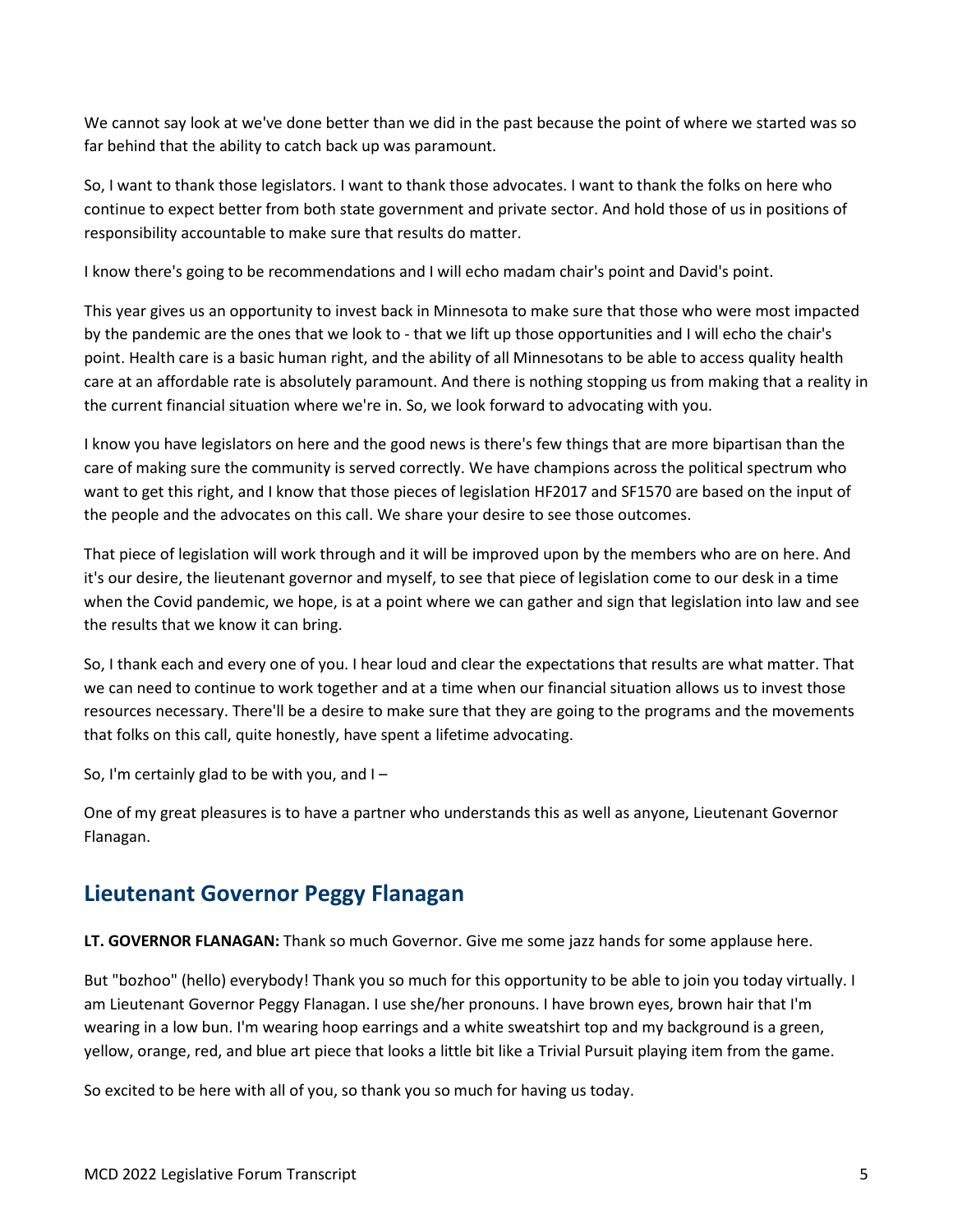We cannot say look at we've done better than we did in the past because the point of where we started was so far behind that the ability to catch back up was paramount.

So, I want to thank those legislators. I want to thank those advocates. I want to thank the folks on here who continue to expect better from both state government and private sector. And hold those of us in positions of responsibility accountable to make sure that results do matter.

I know there's going to be recommendations and I will echo madam chair's point and David's point.

This year gives us an opportunity to invest back in Minnesota to make sure that those who were most impacted by the pandemic are the ones that we look to - that we lift up those opportunities and I will echo the chair's point. Health care is a basic human right, and the ability of all Minnesotans to be able to access quality health care at an affordable rate is absolutely paramount. And there is nothing stopping us from making that a reality in the current financial situation where we're in. So, we look forward to advocating with you.

I know you have legislators on here and the good news is there's few things that are more bipartisan than the care of making sure the community is served correctly. We have champions across the political spectrum who want to get this right, and I know that those pieces of legislation HF2017 and SF1570 are based on the input of the people and the advocates on this call. We share your desire to see those outcomes.

That piece of legislation will work through and it will be improved upon by the members who are on here. And it's our desire, the lieutenant governor and myself, to see that piece of legislation come to our desk in a time when the Covid pandemic, we hope, is at a point where we can gather and sign that legislation into law and see the results that we know it can bring.

So, I thank each and every one of you. I hear loud and clear the expectations that results are what matter. That we can need to continue to work together and at a time when our financial situation allows us to invest those resources necessary. There'll be a desire to make sure that they are going to the programs and the movements that folks on this call, quite honestly, have spent a lifetime advocating.

So, I'm certainly glad to be with you, and I –

One of my great pleasures is to have a partner who understands this as well as anyone, Lieutenant Governor Flanagan.

## <span id="page-4-0"></span>**Lieutenant Governor Peggy Flanagan**

**LT. GOVERNOR FLANAGAN:** Thank so much Governor. Give me some jazz hands for some applause here.

But "bozhoo" (hello) everybody! Thank you so much for this opportunity to be able to join you today virtually. I am Lieutenant Governor Peggy Flanagan. I use she/her pronouns. I have brown eyes, brown hair that I'm wearing in a low bun. I'm wearing hoop earrings and a white sweatshirt top and my background is a green, yellow, orange, red, and blue art piece that looks a little bit like a Trivial Pursuit playing item from the game.

So excited to be here with all of you, so thank you so much for having us today.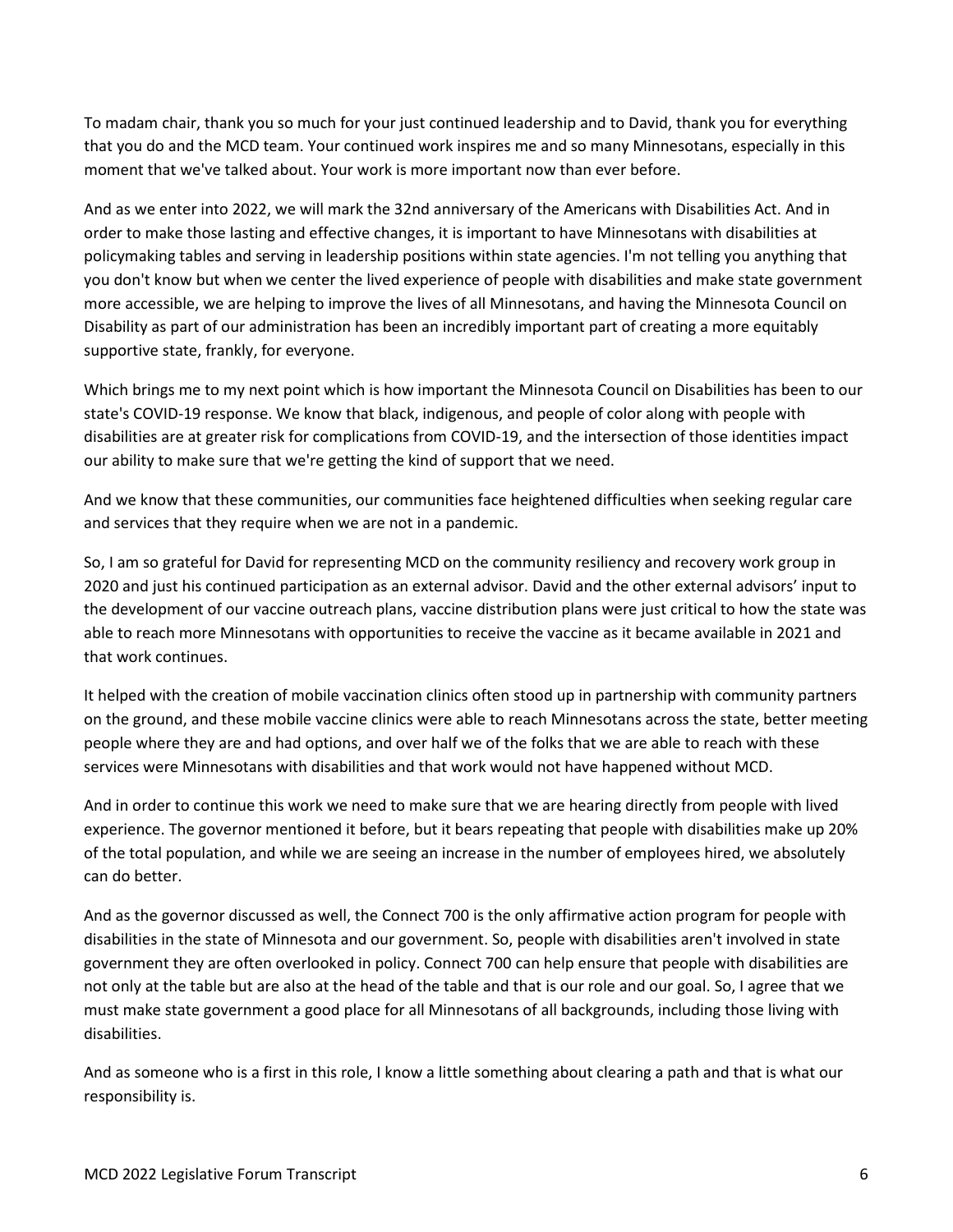To madam chair, thank you so much for your just continued leadership and to David, thank you for everything that you do and the MCD team. Your continued work inspires me and so many Minnesotans, especially in this moment that we've talked about. Your work is more important now than ever before.

And as we enter into 2022, we will mark the 32nd anniversary of the Americans with Disabilities Act. And in order to make those lasting and effective changes, it is important to have Minnesotans with disabilities at policymaking tables and serving in leadership positions within state agencies. I'm not telling you anything that you don't know but when we center the lived experience of people with disabilities and make state government more accessible, we are helping to improve the lives of all Minnesotans, and having the Minnesota Council on Disability as part of our administration has been an incredibly important part of creating a more equitably supportive state, frankly, for everyone.

Which brings me to my next point which is how important the Minnesota Council on Disabilities has been to our state's COVID-19 response. We know that black, indigenous, and people of color along with people with disabilities are at greater risk for complications from COVID-19, and the intersection of those identities impact our ability to make sure that we're getting the kind of support that we need.

And we know that these communities, our communities face heightened difficulties when seeking regular care and services that they require when we are not in a pandemic.

So, I am so grateful for David for representing MCD on the community resiliency and recovery work group in 2020 and just his continued participation as an external advisor. David and the other external advisors' input to the development of our vaccine outreach plans, vaccine distribution plans were just critical to how the state was able to reach more Minnesotans with opportunities to receive the vaccine as it became available in 2021 and that work continues.

It helped with the creation of mobile vaccination clinics often stood up in partnership with community partners on the ground, and these mobile vaccine clinics were able to reach Minnesotans across the state, better meeting people where they are and had options, and over half we of the folks that we are able to reach with these services were Minnesotans with disabilities and that work would not have happened without MCD.

And in order to continue this work we need to make sure that we are hearing directly from people with lived experience. The governor mentioned it before, but it bears repeating that people with disabilities make up 20% of the total population, and while we are seeing an increase in the number of employees hired, we absolutely can do better.

And as the governor discussed as well, the Connect 700 is the only affirmative action program for people with disabilities in the state of Minnesota and our government. So, people with disabilities aren't involved in state government they are often overlooked in policy. Connect 700 can help ensure that people with disabilities are not only at the table but are also at the head of the table and that is our role and our goal. So, I agree that we must make state government a good place for all Minnesotans of all backgrounds, including those living with disabilities.

And as someone who is a first in this role, I know a little something about clearing a path and that is what our responsibility is.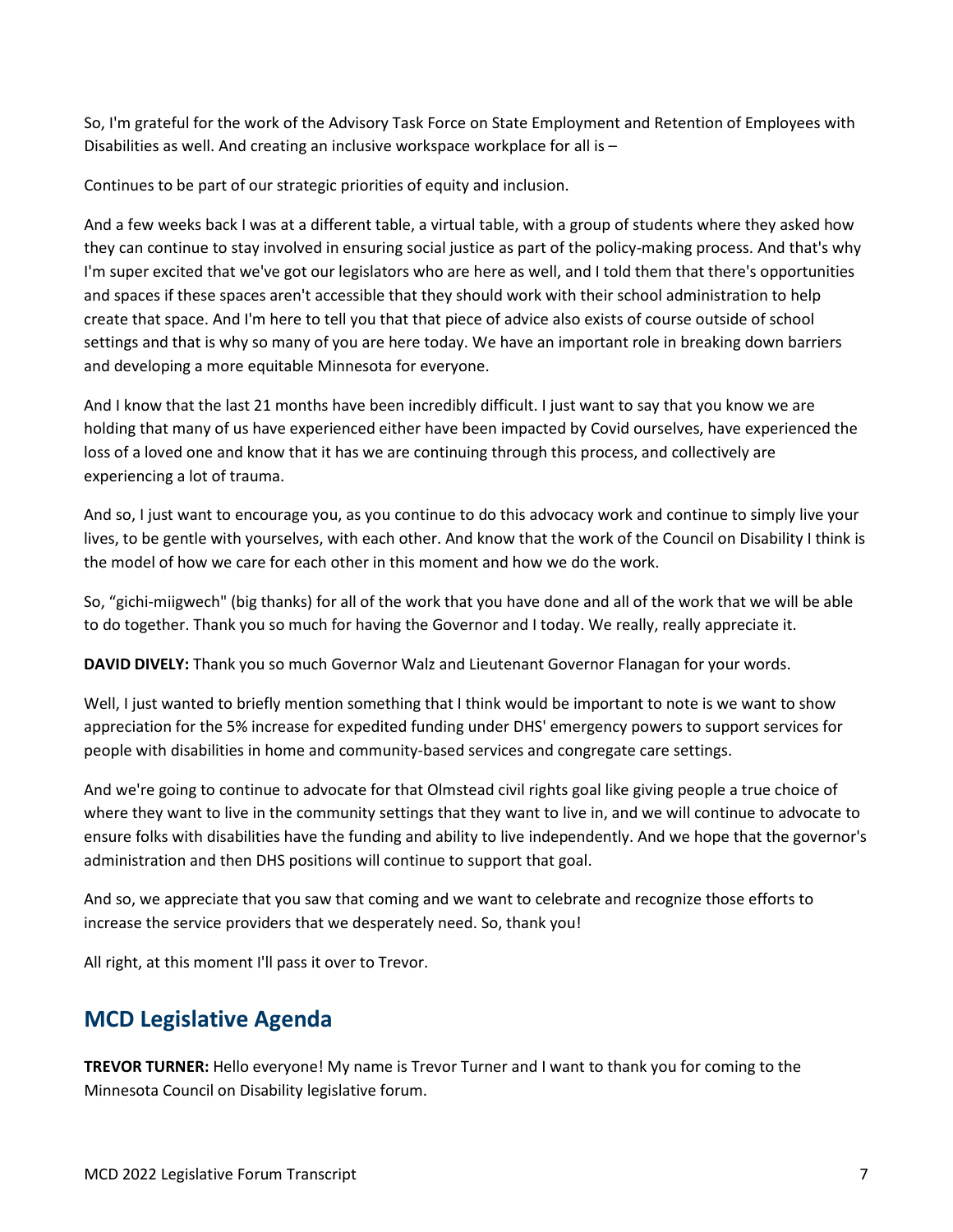So, I'm grateful for the work of the Advisory Task Force on State Employment and Retention of Employees with Disabilities as well. And creating an inclusive workspace workplace for all is –

Continues to be part of our strategic priorities of equity and inclusion.

And a few weeks back I was at a different table, a virtual table, with a group of students where they asked how they can continue to stay involved in ensuring social justice as part of the policy-making process. And that's why I'm super excited that we've got our legislators who are here as well, and I told them that there's opportunities and spaces if these spaces aren't accessible that they should work with their school administration to help create that space. And I'm here to tell you that that piece of advice also exists of course outside of school settings and that is why so many of you are here today. We have an important role in breaking down barriers and developing a more equitable Minnesota for everyone.

And I know that the last 21 months have been incredibly difficult. I just want to say that you know we are holding that many of us have experienced either have been impacted by Covid ourselves, have experienced the loss of a loved one and know that it has we are continuing through this process, and collectively are experiencing a lot of trauma.

And so, I just want to encourage you, as you continue to do this advocacy work and continue to simply live your lives, to be gentle with yourselves, with each other. And know that the work of the Council on Disability I think is the model of how we care for each other in this moment and how we do the work.

So, "gichi-miigwech" (big thanks) for all of the work that you have done and all of the work that we will be able to do together. Thank you so much for having the Governor and I today. We really, really appreciate it.

**DAVID DIVELY:** Thank you so much Governor Walz and Lieutenant Governor Flanagan for your words.

Well, I just wanted to briefly mention something that I think would be important to note is we want to show appreciation for the 5% increase for expedited funding under DHS' emergency powers to support services for people with disabilities in home and community-based services and congregate care settings.

And we're going to continue to advocate for that Olmstead civil rights goal like giving people a true choice of where they want to live in the community settings that they want to live in, and we will continue to advocate to ensure folks with disabilities have the funding and ability to live independently. And we hope that the governor's administration and then DHS positions will continue to support that goal.

And so, we appreciate that you saw that coming and we want to celebrate and recognize those efforts to increase the service providers that we desperately need. So, thank you!

All right, at this moment I'll pass it over to Trevor.

## <span id="page-6-0"></span>**MCD Legislative Agenda**

**TREVOR TURNER:** Hello everyone! My name is Trevor Turner and I want to thank you for coming to the Minnesota Council on Disability legislative forum.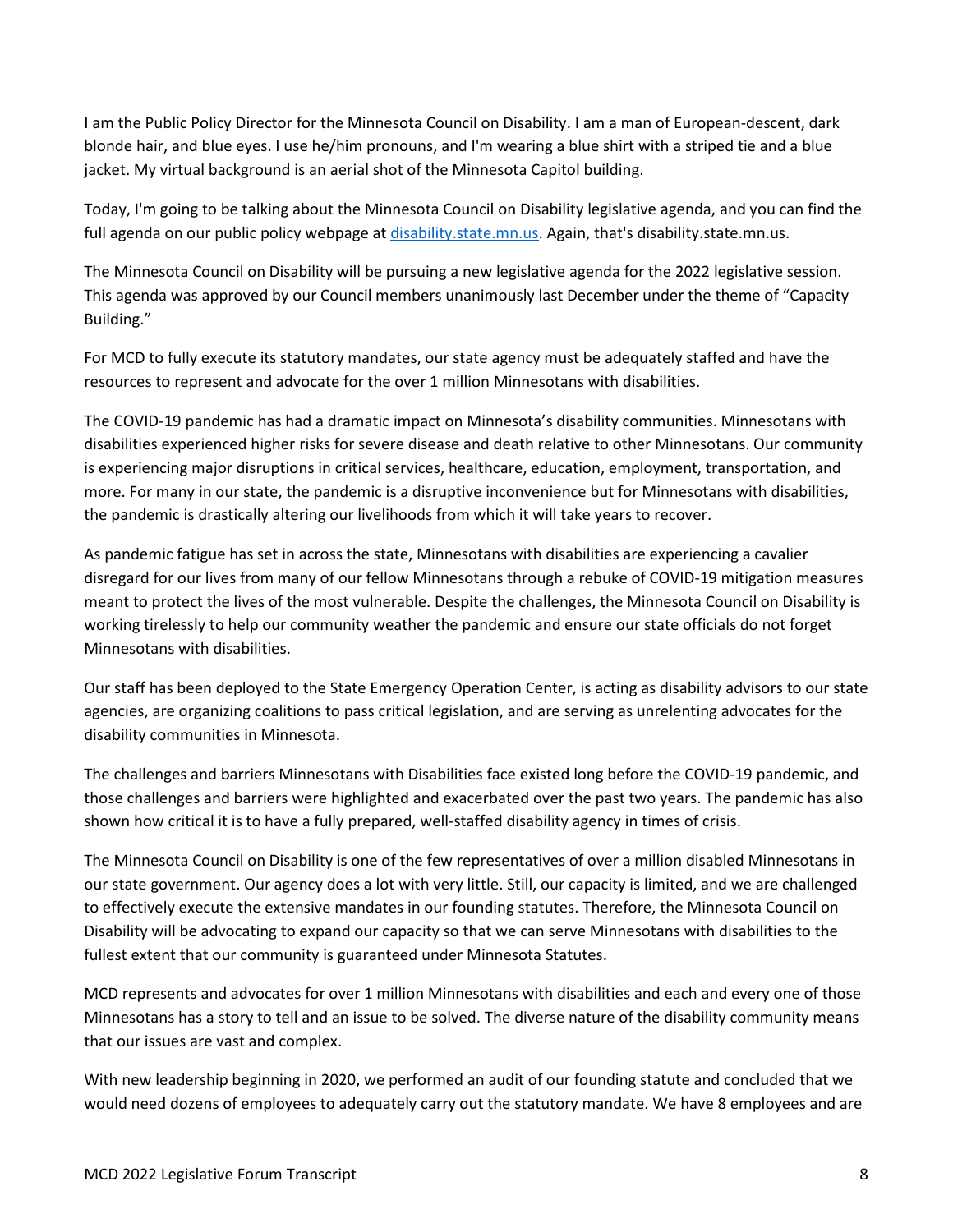I am the Public Policy Director for the Minnesota Council on Disability. I am a man of European-descent, dark blonde hair, and blue eyes. I use he/him pronouns, and I'm wearing a blue shirt with a striped tie and a blue jacket. My virtual background is an aerial shot of the Minnesota Capitol building.

Today, I'm going to be talking about the Minnesota Council on Disability legislative agenda, and you can find the full agenda on our public policy webpage at [disability.state.mn.us.](https://www.disability.state.mn.us/) Again, that's disability.state.mn.us.

The Minnesota Council on Disability will be pursuing a new legislative agenda for the 2022 legislative session. This agenda was approved by our Council members unanimously last December under the theme of "Capacity Building."

For MCD to fully execute its statutory mandates, our state agency must be adequately staffed and have the resources to represent and advocate for the over 1 million Minnesotans with disabilities.

The COVID-19 pandemic has had a dramatic impact on Minnesota's disability communities. Minnesotans with disabilities experienced higher risks for severe disease and death relative to other Minnesotans. Our community is experiencing major disruptions in critical services, healthcare, education, employment, transportation, and more. For many in our state, the pandemic is a disruptive inconvenience but for Minnesotans with disabilities, the pandemic is drastically altering our livelihoods from which it will take years to recover.

As pandemic fatigue has set in across the state, Minnesotans with disabilities are experiencing a cavalier disregard for our lives from many of our fellow Minnesotans through a rebuke of COVID-19 mitigation measures meant to protect the lives of the most vulnerable. Despite the challenges, the Minnesota Council on Disability is working tirelessly to help our community weather the pandemic and ensure our state officials do not forget Minnesotans with disabilities.

Our staff has been deployed to the State Emergency Operation Center, is acting as disability advisors to our state agencies, are organizing coalitions to pass critical legislation, and are serving as unrelenting advocates for the disability communities in Minnesota.

The challenges and barriers Minnesotans with Disabilities face existed long before the COVID-19 pandemic, and those challenges and barriers were highlighted and exacerbated over the past two years. The pandemic has also shown how critical it is to have a fully prepared, well-staffed disability agency in times of crisis.

The Minnesota Council on Disability is one of the few representatives of over a million disabled Minnesotans in our state government. Our agency does a lot with very little. Still, our capacity is limited, and we are challenged to effectively execute the extensive mandates in our founding statutes. Therefore, the Minnesota Council on Disability will be advocating to expand our capacity so that we can serve Minnesotans with disabilities to the fullest extent that our community is guaranteed under Minnesota Statutes.

MCD represents and advocates for over 1 million Minnesotans with disabilities and each and every one of those Minnesotans has a story to tell and an issue to be solved. The diverse nature of the disability community means that our issues are vast and complex.

With new leadership beginning in 2020, we performed an audit of our founding statute and concluded that we would need dozens of employees to adequately carry out the statutory mandate. We have 8 employees and are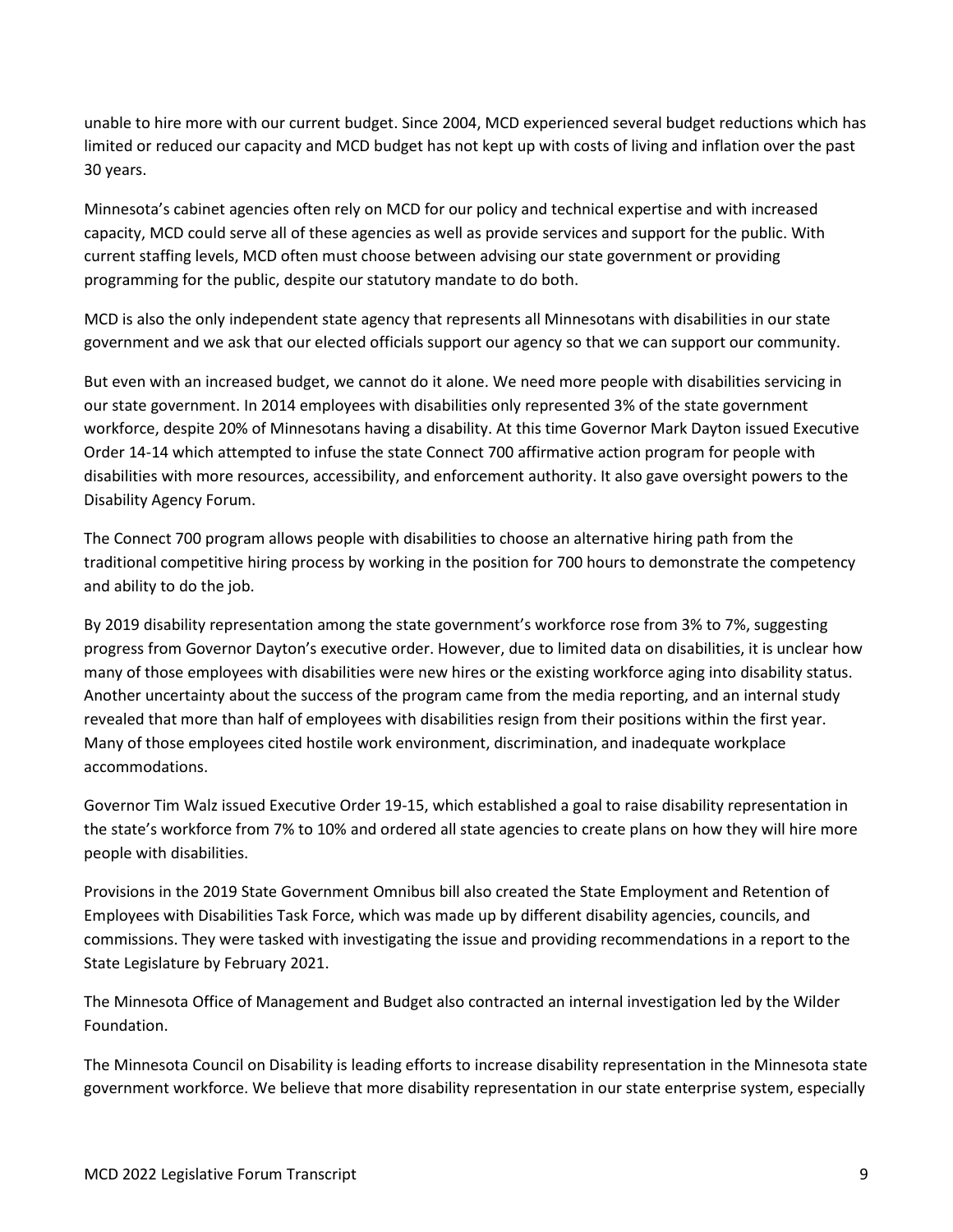unable to hire more with our current budget. Since 2004, MCD experienced several budget reductions which has limited or reduced our capacity and MCD budget has not kept up with costs of living and inflation over the past 30 years.

Minnesota's cabinet agencies often rely on MCD for our policy and technical expertise and with increased capacity, MCD could serve all of these agencies as well as provide services and support for the public. With current staffing levels, MCD often must choose between advising our state government or providing programming for the public, despite our statutory mandate to do both.

MCD is also the only independent state agency that represents all Minnesotans with disabilities in our state government and we ask that our elected officials support our agency so that we can support our community.

But even with an increased budget, we cannot do it alone. We need more people with disabilities servicing in our state government. In 2014 employees with disabilities only represented 3% of the state government workforce, despite 20% of Minnesotans having a disability. At this time Governor Mark Dayton issued Executive Order 14-14 which attempted to infuse the state Connect 700 affirmative action program for people with disabilities with more resources, accessibility, and enforcement authority. It also gave oversight powers to the Disability Agency Forum.

The Connect 700 program allows people with disabilities to choose an alternative hiring path from the traditional competitive hiring process by working in the position for 700 hours to demonstrate the competency and ability to do the job.

By 2019 disability representation among the state government's workforce rose from 3% to 7%, suggesting progress from Governor Dayton's executive order. However, due to limited data on disabilities, it is unclear how many of those employees with disabilities were new hires or the existing workforce aging into disability status. Another uncertainty about the success of the program came from the media reporting, and an internal study revealed that more than half of employees with disabilities resign from their positions within the first year. Many of those employees cited hostile work environment, discrimination, and inadequate workplace accommodations.

Governor Tim Walz issued Executive Order 19-15, which established a goal to raise disability representation in the state's workforce from 7% to 10% and ordered all state agencies to create plans on how they will hire more people with disabilities.

Provisions in the 2019 State Government Omnibus bill also created the State Employment and Retention of Employees with Disabilities Task Force, which was made up by different disability agencies, councils, and commissions. They were tasked with investigating the issue and providing recommendations in a report to the State Legislature by February 2021.

The Minnesota Office of Management and Budget also contracted an internal investigation led by the Wilder Foundation.

The Minnesota Council on Disability is leading efforts to increase disability representation in the Minnesota state government workforce. We believe that more disability representation in our state enterprise system, especially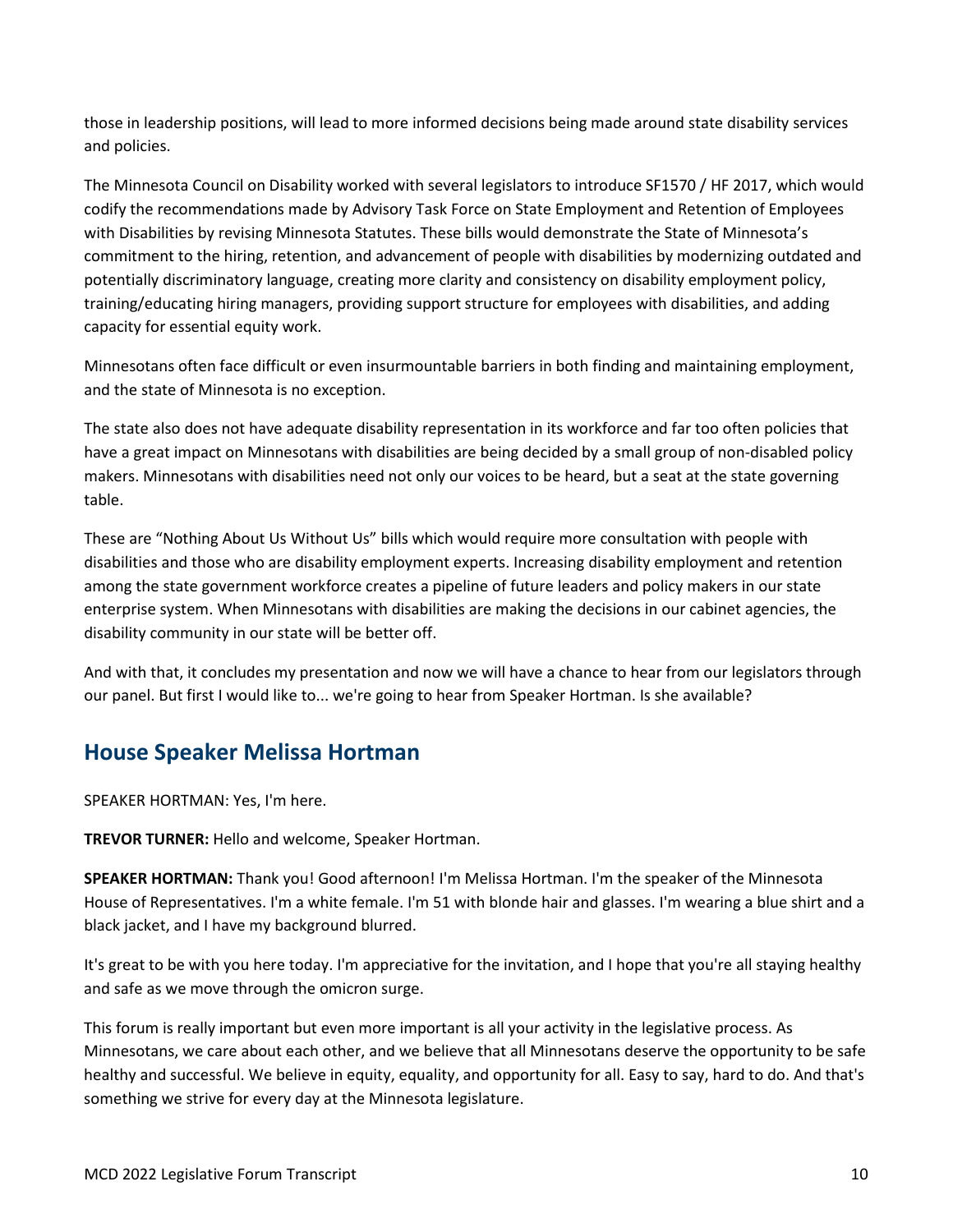those in leadership positions, will lead to more informed decisions being made around state disability services and policies.

The Minnesota Council on Disability worked with several legislators to introduce SF1570 / HF 2017, which would codify the recommendations made by Advisory Task Force on State Employment and Retention of Employees with Disabilities by revising Minnesota Statutes. These bills would demonstrate the State of Minnesota's commitment to the hiring, retention, and advancement of people with disabilities by modernizing outdated and potentially discriminatory language, creating more clarity and consistency on disability employment policy, training/educating hiring managers, providing support structure for employees with disabilities, and adding capacity for essential equity work.

Minnesotans often face difficult or even insurmountable barriers in both finding and maintaining employment, and the state of Minnesota is no exception.

The state also does not have adequate disability representation in its workforce and far too often policies that have a great impact on Minnesotans with disabilities are being decided by a small group of non-disabled policy makers. Minnesotans with disabilities need not only our voices to be heard, but a seat at the state governing table.

These are "Nothing About Us Without Us" bills which would require more consultation with people with disabilities and those who are disability employment experts. Increasing disability employment and retention among the state government workforce creates a pipeline of future leaders and policy makers in our state enterprise system. When Minnesotans with disabilities are making the decisions in our cabinet agencies, the disability community in our state will be better off.

And with that, it concludes my presentation and now we will have a chance to hear from our legislators through our panel. But first I would like to... we're going to hear from Speaker Hortman. Is she available?

## <span id="page-9-0"></span>**House Speaker Melissa Hortman**

SPEAKER HORTMAN: Yes, I'm here.

**TREVOR TURNER:** Hello and welcome, Speaker Hortman.

**SPEAKER HORTMAN:** Thank you! Good afternoon! I'm Melissa Hortman. I'm the speaker of the Minnesota House of Representatives. I'm a white female. I'm 51 with blonde hair and glasses. I'm wearing a blue shirt and a black jacket, and I have my background blurred.

It's great to be with you here today. I'm appreciative for the invitation, and I hope that you're all staying healthy and safe as we move through the omicron surge.

This forum is really important but even more important is all your activity in the legislative process. As Minnesotans, we care about each other, and we believe that all Minnesotans deserve the opportunity to be safe healthy and successful. We believe in equity, equality, and opportunity for all. Easy to say, hard to do. And that's something we strive for every day at the Minnesota legislature.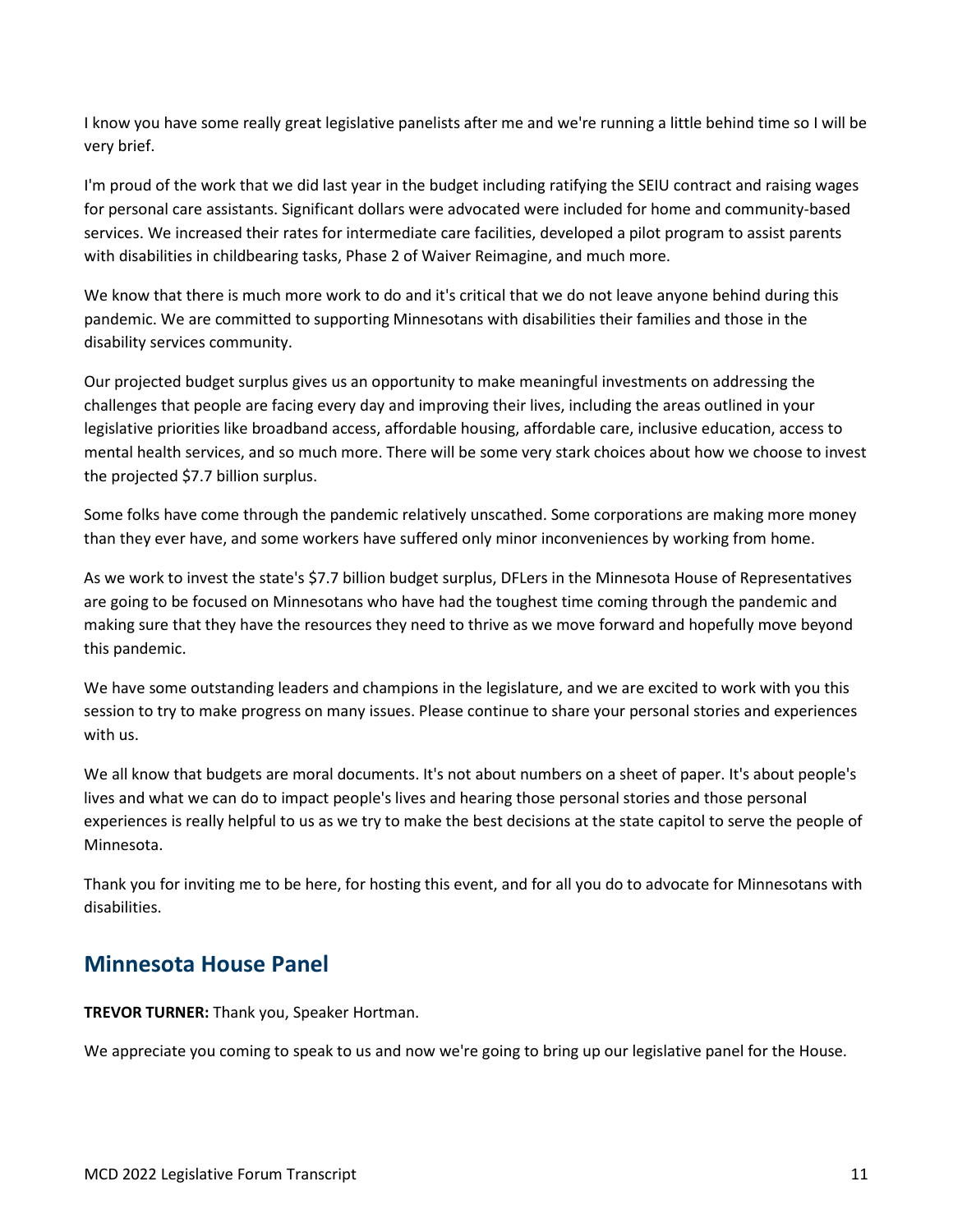I know you have some really great legislative panelists after me and we're running a little behind time so I will be very brief.

I'm proud of the work that we did last year in the budget including ratifying the SEIU contract and raising wages for personal care assistants. Significant dollars were advocated were included for home and community-based services. We increased their rates for intermediate care facilities, developed a pilot program to assist parents with disabilities in childbearing tasks, Phase 2 of Waiver Reimagine, and much more.

We know that there is much more work to do and it's critical that we do not leave anyone behind during this pandemic. We are committed to supporting Minnesotans with disabilities their families and those in the disability services community.

Our projected budget surplus gives us an opportunity to make meaningful investments on addressing the challenges that people are facing every day and improving their lives, including the areas outlined in your legislative priorities like broadband access, affordable housing, affordable care, inclusive education, access to mental health services, and so much more. There will be some very stark choices about how we choose to invest the projected \$7.7 billion surplus.

Some folks have come through the pandemic relatively unscathed. Some corporations are making more money than they ever have, and some workers have suffered only minor inconveniences by working from home.

As we work to invest the state's \$7.7 billion budget surplus, DFLers in the Minnesota House of Representatives are going to be focused on Minnesotans who have had the toughest time coming through the pandemic and making sure that they have the resources they need to thrive as we move forward and hopefully move beyond this pandemic.

We have some outstanding leaders and champions in the legislature, and we are excited to work with you this session to try to make progress on many issues. Please continue to share your personal stories and experiences with us.

We all know that budgets are moral documents. It's not about numbers on a sheet of paper. It's about people's lives and what we can do to impact people's lives and hearing those personal stories and those personal experiences is really helpful to us as we try to make the best decisions at the state capitol to serve the people of Minnesota.

Thank you for inviting me to be here, for hosting this event, and for all you do to advocate for Minnesotans with disabilities.

## <span id="page-10-0"></span>**Minnesota House Panel**

**TREVOR TURNER:** Thank you, Speaker Hortman.

We appreciate you coming to speak to us and now we're going to bring up our legislative panel for the House.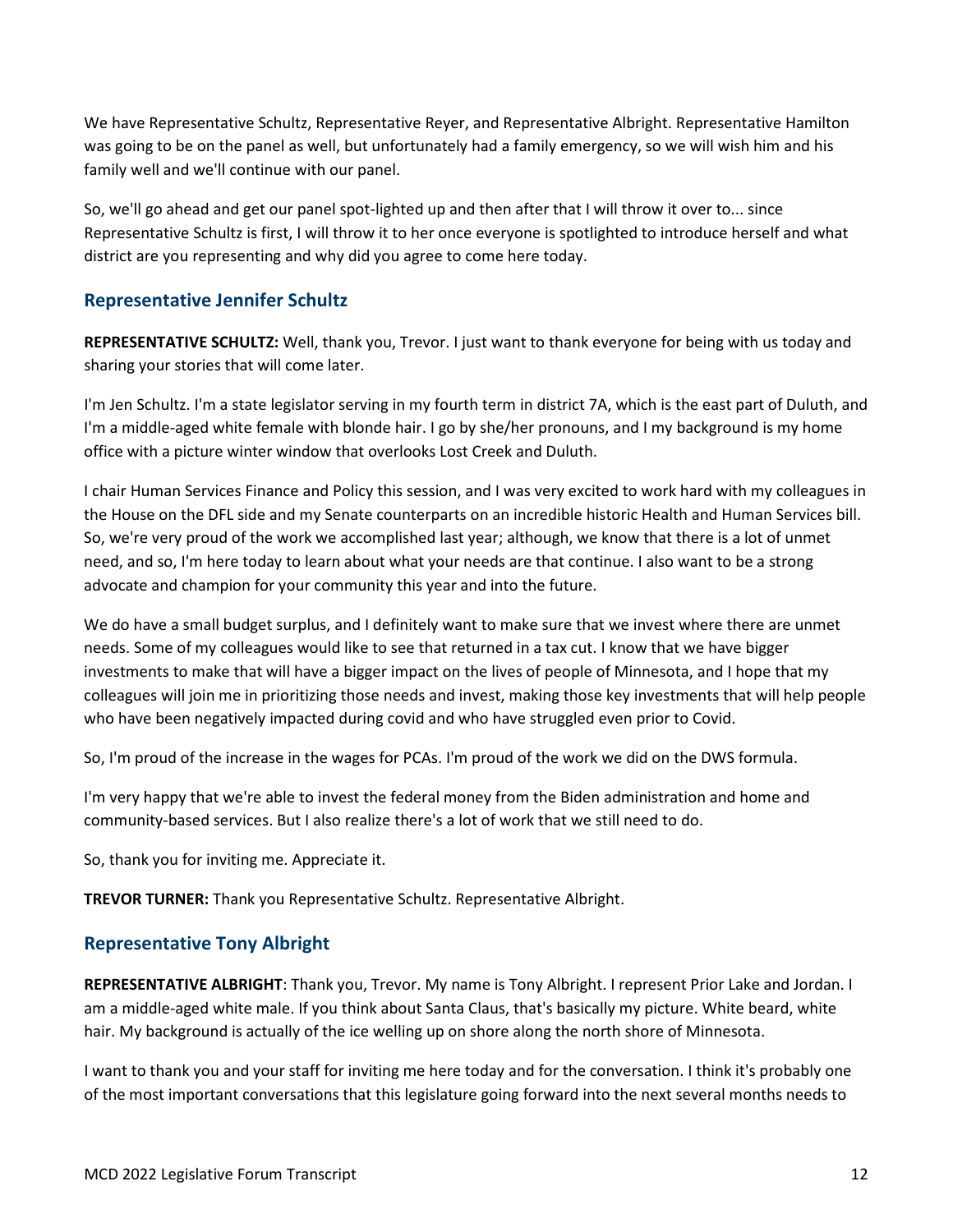We have Representative Schultz, Representative Reyer, and Representative Albright. Representative Hamilton was going to be on the panel as well, but unfortunately had a family emergency, so we will wish him and his family well and we'll continue with our panel.

So, we'll go ahead and get our panel spot-lighted up and then after that I will throw it over to... since Representative Schultz is first, I will throw it to her once everyone is spotlighted to introduce herself and what district are you representing and why did you agree to come here today.

## <span id="page-11-0"></span>**Representative Jennifer Schultz**

**REPRESENTATIVE SCHULTZ:** Well, thank you, Trevor. I just want to thank everyone for being with us today and sharing your stories that will come later.

I'm Jen Schultz. I'm a state legislator serving in my fourth term in district 7A, which is the east part of Duluth, and I'm a middle-aged white female with blonde hair. I go by she/her pronouns, and I my background is my home office with a picture winter window that overlooks Lost Creek and Duluth.

I chair Human Services Finance and Policy this session, and I was very excited to work hard with my colleagues in the House on the DFL side and my Senate counterparts on an incredible historic Health and Human Services bill. So, we're very proud of the work we accomplished last year; although, we know that there is a lot of unmet need, and so, I'm here today to learn about what your needs are that continue. I also want to be a strong advocate and champion for your community this year and into the future.

We do have a small budget surplus, and I definitely want to make sure that we invest where there are unmet needs. Some of my colleagues would like to see that returned in a tax cut. I know that we have bigger investments to make that will have a bigger impact on the lives of people of Minnesota, and I hope that my colleagues will join me in prioritizing those needs and invest, making those key investments that will help people who have been negatively impacted during covid and who have struggled even prior to Covid.

So, I'm proud of the increase in the wages for PCAs. I'm proud of the work we did on the DWS formula.

I'm very happy that we're able to invest the federal money from the Biden administration and home and community-based services. But I also realize there's a lot of work that we still need to do.

So, thank you for inviting me. Appreciate it.

**TREVOR TURNER:** Thank you Representative Schultz. Representative Albright.

## <span id="page-11-1"></span>**Representative Tony Albright**

**REPRESENTATIVE ALBRIGHT**: Thank you, Trevor. My name is Tony Albright. I represent Prior Lake and Jordan. I am a middle-aged white male. If you think about Santa Claus, that's basically my picture. White beard, white hair. My background is actually of the ice welling up on shore along the north shore of Minnesota.

I want to thank you and your staff for inviting me here today and for the conversation. I think it's probably one of the most important conversations that this legislature going forward into the next several months needs to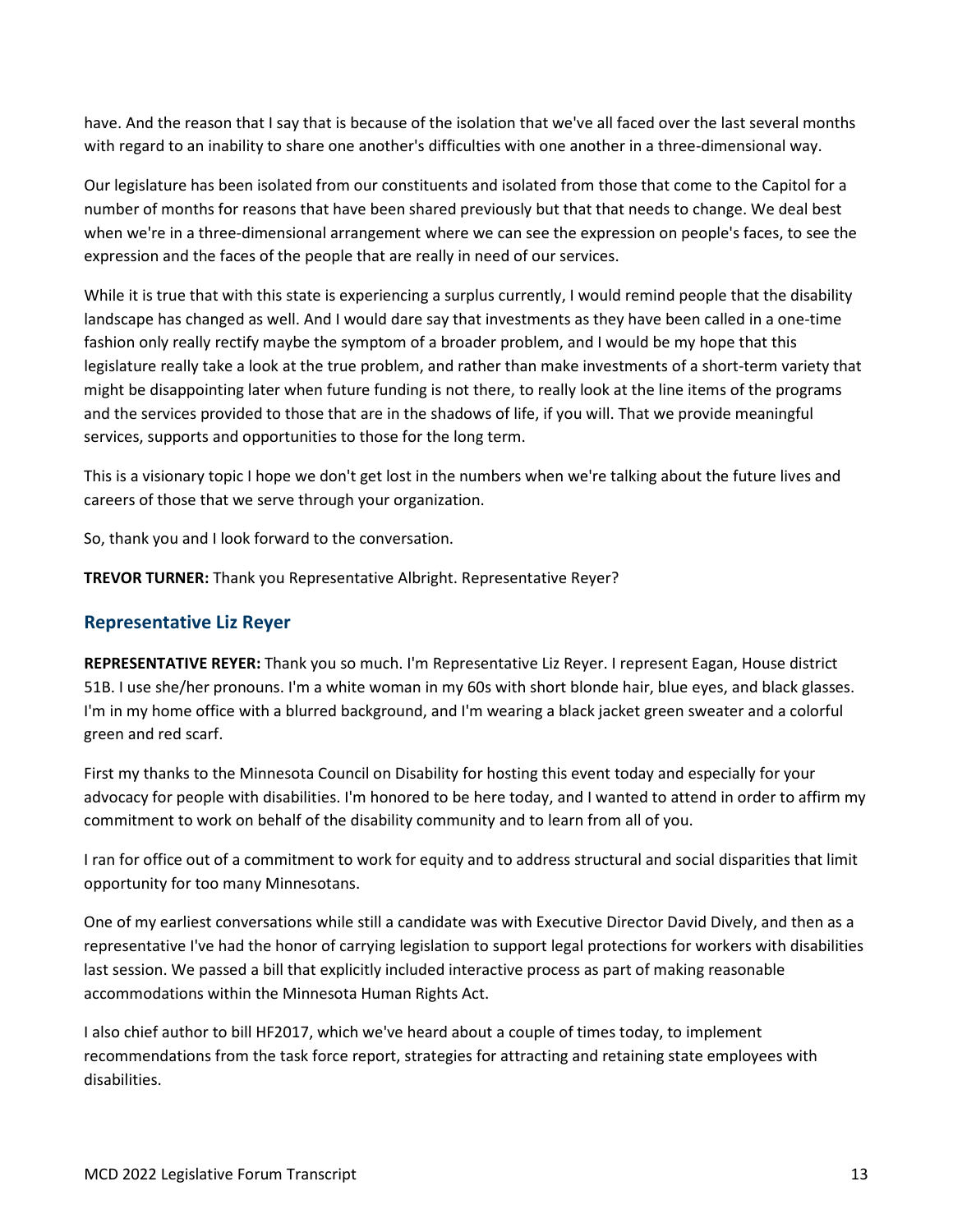have. And the reason that I say that is because of the isolation that we've all faced over the last several months with regard to an inability to share one another's difficulties with one another in a three-dimensional way.

Our legislature has been isolated from our constituents and isolated from those that come to the Capitol for a number of months for reasons that have been shared previously but that that needs to change. We deal best when we're in a three-dimensional arrangement where we can see the expression on people's faces, to see the expression and the faces of the people that are really in need of our services.

While it is true that with this state is experiencing a surplus currently, I would remind people that the disability landscape has changed as well. And I would dare say that investments as they have been called in a one-time fashion only really rectify maybe the symptom of a broader problem, and I would be my hope that this legislature really take a look at the true problem, and rather than make investments of a short-term variety that might be disappointing later when future funding is not there, to really look at the line items of the programs and the services provided to those that are in the shadows of life, if you will. That we provide meaningful services, supports and opportunities to those for the long term.

This is a visionary topic I hope we don't get lost in the numbers when we're talking about the future lives and careers of those that we serve through your organization.

So, thank you and I look forward to the conversation.

**TREVOR TURNER:** Thank you Representative Albright. Representative Reyer?

## <span id="page-12-0"></span>**Representative Liz Reyer**

**REPRESENTATIVE REYER:** Thank you so much. I'm Representative Liz Reyer. I represent Eagan, House district 51B. I use she/her pronouns. I'm a white woman in my 60s with short blonde hair, blue eyes, and black glasses. I'm in my home office with a blurred background, and I'm wearing a black jacket green sweater and a colorful green and red scarf.

First my thanks to the Minnesota Council on Disability for hosting this event today and especially for your advocacy for people with disabilities. I'm honored to be here today, and I wanted to attend in order to affirm my commitment to work on behalf of the disability community and to learn from all of you.

I ran for office out of a commitment to work for equity and to address structural and social disparities that limit opportunity for too many Minnesotans.

One of my earliest conversations while still a candidate was with Executive Director David Dively, and then as a representative I've had the honor of carrying legislation to support legal protections for workers with disabilities last session. We passed a bill that explicitly included interactive process as part of making reasonable accommodations within the Minnesota Human Rights Act.

I also chief author to bill HF2017, which we've heard about a couple of times today, to implement recommendations from the task force report, strategies for attracting and retaining state employees with disabilities.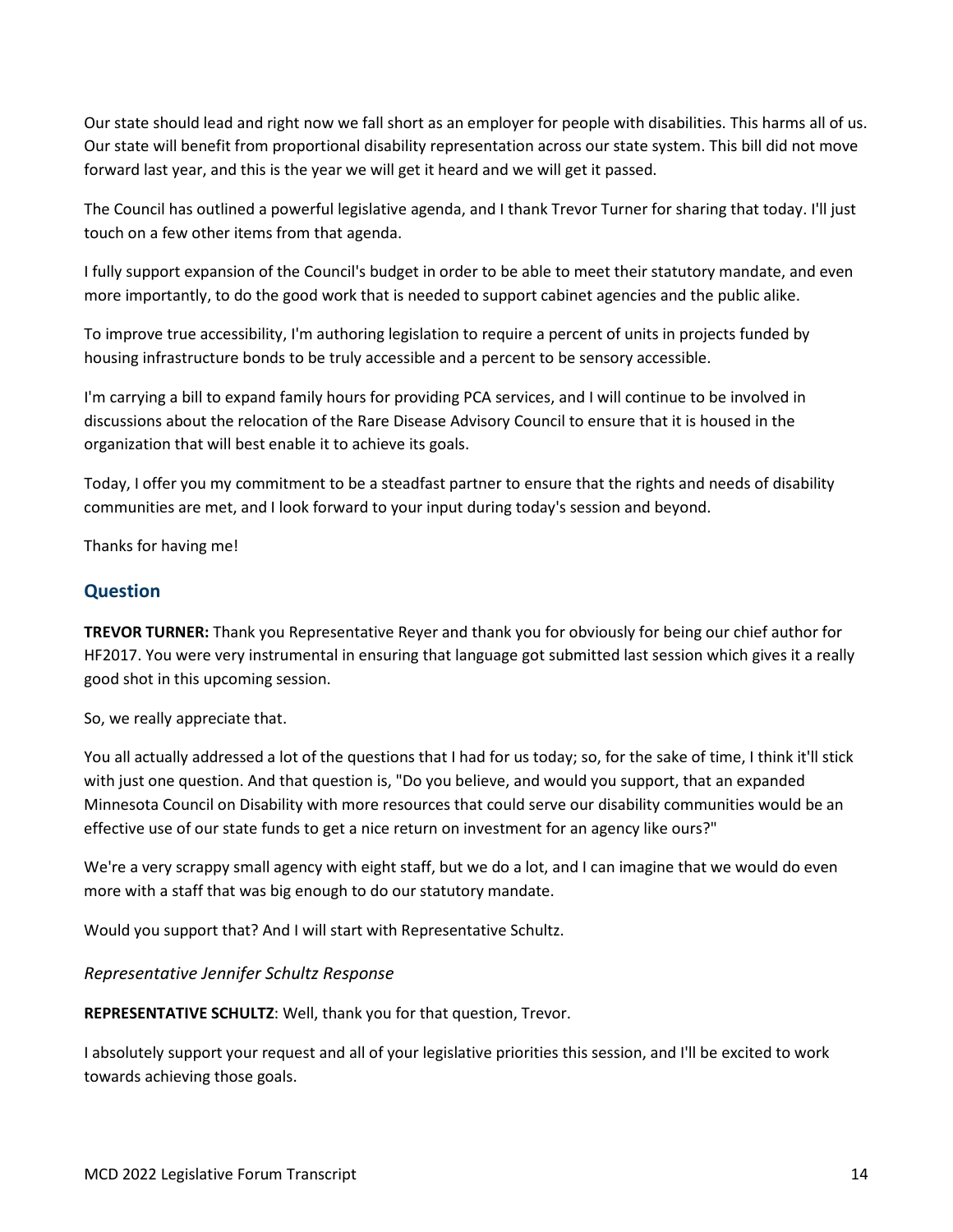Our state should lead and right now we fall short as an employer for people with disabilities. This harms all of us. Our state will benefit from proportional disability representation across our state system. This bill did not move forward last year, and this is the year we will get it heard and we will get it passed.

The Council has outlined a powerful legislative agenda, and I thank Trevor Turner for sharing that today. I'll just touch on a few other items from that agenda.

I fully support expansion of the Council's budget in order to be able to meet their statutory mandate, and even more importantly, to do the good work that is needed to support cabinet agencies and the public alike.

To improve true accessibility, I'm authoring legislation to require a percent of units in projects funded by housing infrastructure bonds to be truly accessible and a percent to be sensory accessible.

I'm carrying a bill to expand family hours for providing PCA services, and I will continue to be involved in discussions about the relocation of the Rare Disease Advisory Council to ensure that it is housed in the organization that will best enable it to achieve its goals.

Today, I offer you my commitment to be a steadfast partner to ensure that the rights and needs of disability communities are met, and I look forward to your input during today's session and beyond.

Thanks for having me!

### <span id="page-13-0"></span>**Question**

**TREVOR TURNER:** Thank you Representative Reyer and thank you for obviously for being our chief author for HF2017. You were very instrumental in ensuring that language got submitted last session which gives it a really good shot in this upcoming session.

So, we really appreciate that.

You all actually addressed a lot of the questions that I had for us today; so, for the sake of time, I think it'll stick with just one question. And that question is, "Do you believe, and would you support, that an expanded Minnesota Council on Disability with more resources that could serve our disability communities would be an effective use of our state funds to get a nice return on investment for an agency like ours?"

We're a very scrappy small agency with eight staff, but we do a lot, and I can imagine that we would do even more with a staff that was big enough to do our statutory mandate.

Would you support that? And I will start with Representative Schultz.

<span id="page-13-1"></span>*Representative Jennifer Schultz Response*

**REPRESENTATIVE SCHULTZ**: Well, thank you for that question, Trevor.

I absolutely support your request and all of your legislative priorities this session, and I'll be excited to work towards achieving those goals.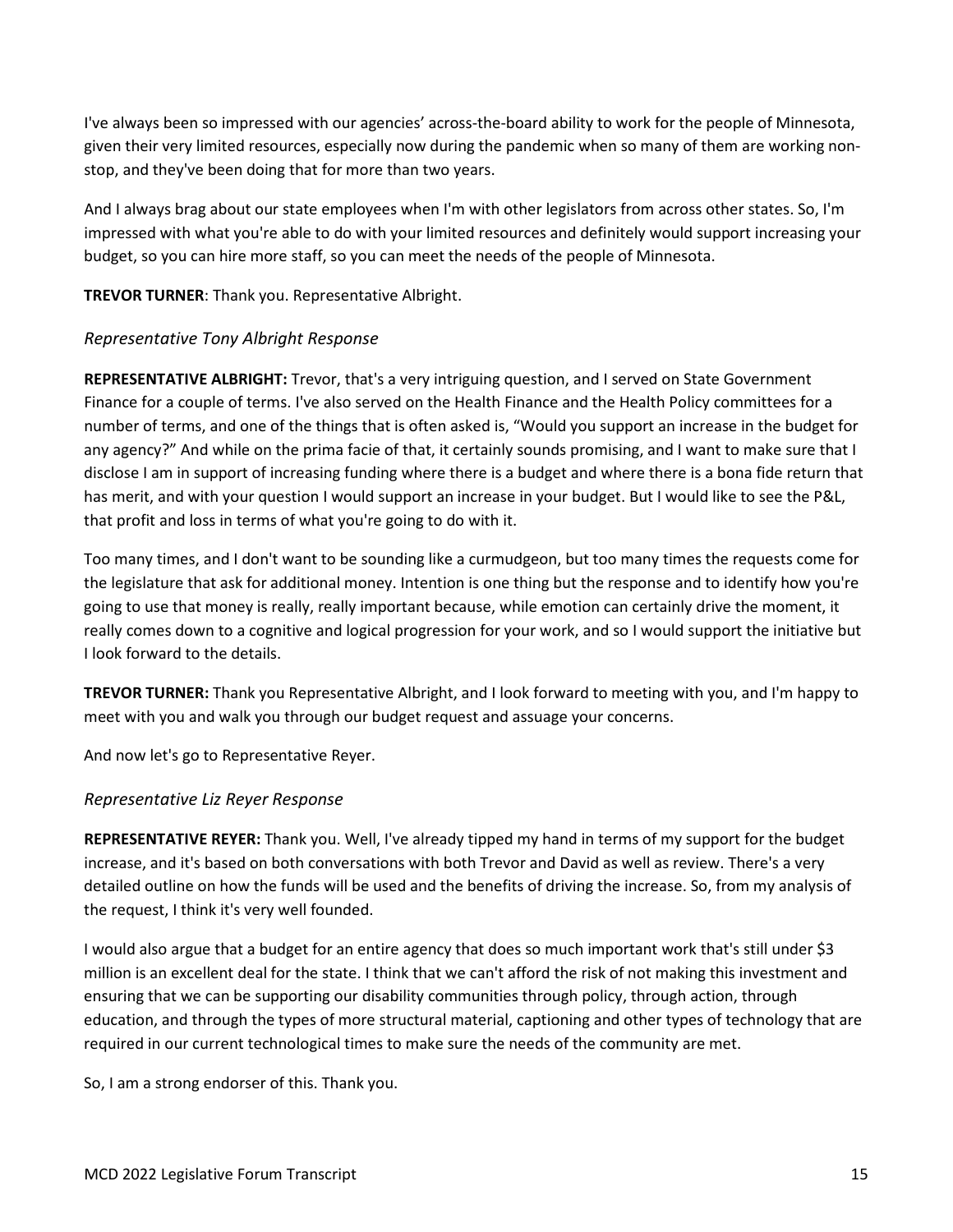I've always been so impressed with our agencies' across-the-board ability to work for the people of Minnesota, given their very limited resources, especially now during the pandemic when so many of them are working nonstop, and they've been doing that for more than two years.

And I always brag about our state employees when I'm with other legislators from across other states. So, I'm impressed with what you're able to do with your limited resources and definitely would support increasing your budget, so you can hire more staff, so you can meet the needs of the people of Minnesota.

#### **TREVOR TURNER**: Thank you. Representative Albright.

#### <span id="page-14-0"></span>*Representative Tony Albright Response*

**REPRESENTATIVE ALBRIGHT:** Trevor, that's a very intriguing question, and I served on State Government Finance for a couple of terms. I've also served on the Health Finance and the Health Policy committees for a number of terms, and one of the things that is often asked is, "Would you support an increase in the budget for any agency?" And while on the prima facie of that, it certainly sounds promising, and I want to make sure that I disclose I am in support of increasing funding where there is a budget and where there is a bona fide return that has merit, and with your question I would support an increase in your budget. But I would like to see the P&L, that profit and loss in terms of what you're going to do with it.

Too many times, and I don't want to be sounding like a curmudgeon, but too many times the requests come for the legislature that ask for additional money. Intention is one thing but the response and to identify how you're going to use that money is really, really important because, while emotion can certainly drive the moment, it really comes down to a cognitive and logical progression for your work, and so I would support the initiative but I look forward to the details.

**TREVOR TURNER:** Thank you Representative Albright, and I look forward to meeting with you, and I'm happy to meet with you and walk you through our budget request and assuage your concerns.

And now let's go to Representative Reyer.

#### <span id="page-14-1"></span>*Representative Liz Reyer Response*

**REPRESENTATIVE REYER:** Thank you. Well, I've already tipped my hand in terms of my support for the budget increase, and it's based on both conversations with both Trevor and David as well as review. There's a very detailed outline on how the funds will be used and the benefits of driving the increase. So, from my analysis of the request, I think it's very well founded.

I would also argue that a budget for an entire agency that does so much important work that's still under \$3 million is an excellent deal for the state. I think that we can't afford the risk of not making this investment and ensuring that we can be supporting our disability communities through policy, through action, through education, and through the types of more structural material, captioning and other types of technology that are required in our current technological times to make sure the needs of the community are met.

So, I am a strong endorser of this. Thank you.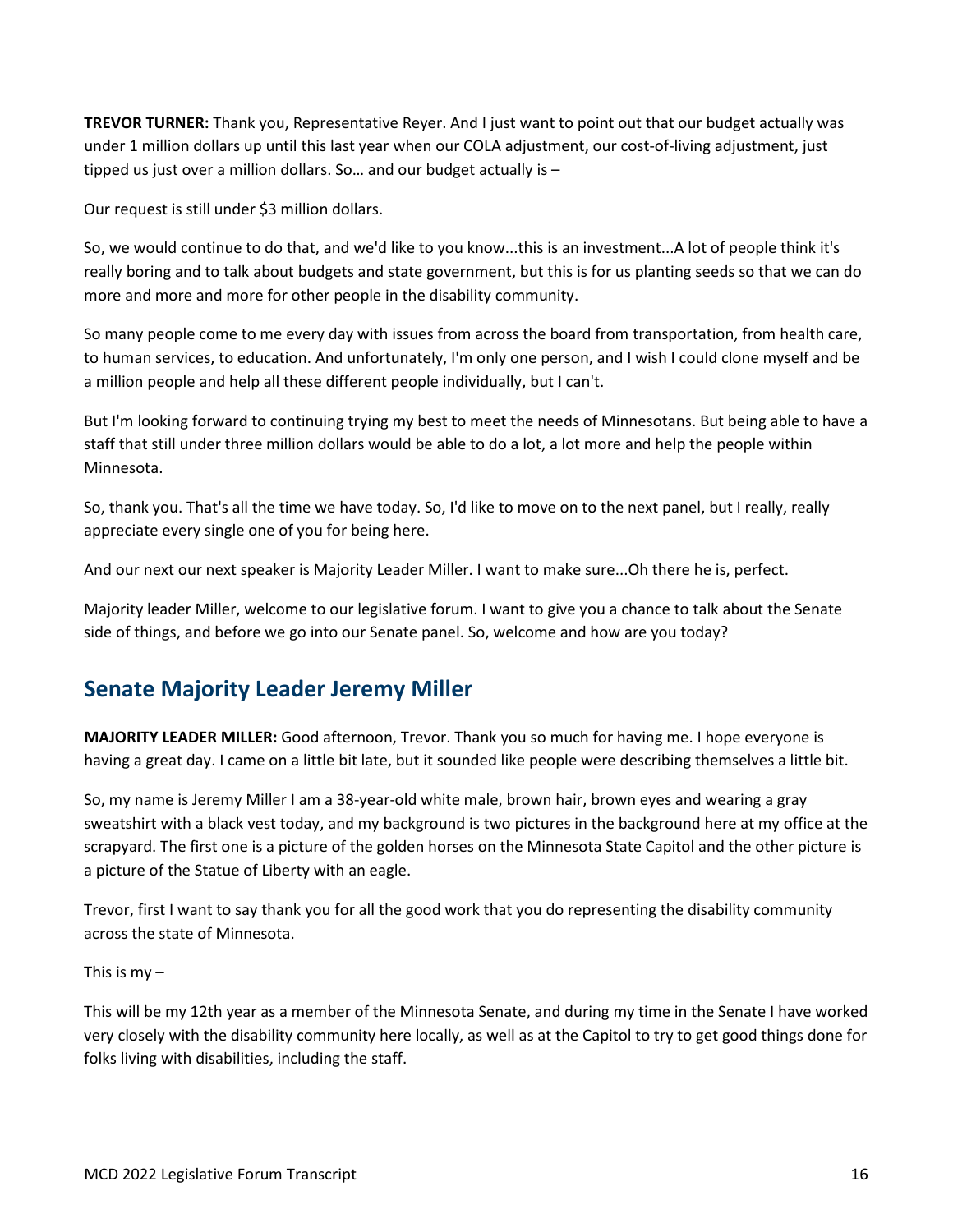**TREVOR TURNER:** Thank you, Representative Reyer. And I just want to point out that our budget actually was under 1 million dollars up until this last year when our COLA adjustment, our cost-of-living adjustment, just tipped us just over a million dollars. So… and our budget actually is –

Our request is still under \$3 million dollars.

So, we would continue to do that, and we'd like to you know...this is an investment...A lot of people think it's really boring and to talk about budgets and state government, but this is for us planting seeds so that we can do more and more and more for other people in the disability community.

So many people come to me every day with issues from across the board from transportation, from health care, to human services, to education. And unfortunately, I'm only one person, and I wish I could clone myself and be a million people and help all these different people individually, but I can't.

But I'm looking forward to continuing trying my best to meet the needs of Minnesotans. But being able to have a staff that still under three million dollars would be able to do a lot, a lot more and help the people within Minnesota.

So, thank you. That's all the time we have today. So, I'd like to move on to the next panel, but I really, really appreciate every single one of you for being here.

And our next our next speaker is Majority Leader Miller. I want to make sure...Oh there he is, perfect.

Majority leader Miller, welcome to our legislative forum. I want to give you a chance to talk about the Senate side of things, and before we go into our Senate panel. So, welcome and how are you today?

## <span id="page-15-0"></span>**Senate Majority Leader Jeremy Miller**

**MAJORITY LEADER MILLER:** Good afternoon, Trevor. Thank you so much for having me. I hope everyone is having a great day. I came on a little bit late, but it sounded like people were describing themselves a little bit.

So, my name is Jeremy Miller I am a 38-year-old white male, brown hair, brown eyes and wearing a gray sweatshirt with a black vest today, and my background is two pictures in the background here at my office at the scrapyard. The first one is a picture of the golden horses on the Minnesota State Capitol and the other picture is a picture of the Statue of Liberty with an eagle.

Trevor, first I want to say thank you for all the good work that you do representing the disability community across the state of Minnesota.

#### This is  $my -$

This will be my 12th year as a member of the Minnesota Senate, and during my time in the Senate I have worked very closely with the disability community here locally, as well as at the Capitol to try to get good things done for folks living with disabilities, including the staff.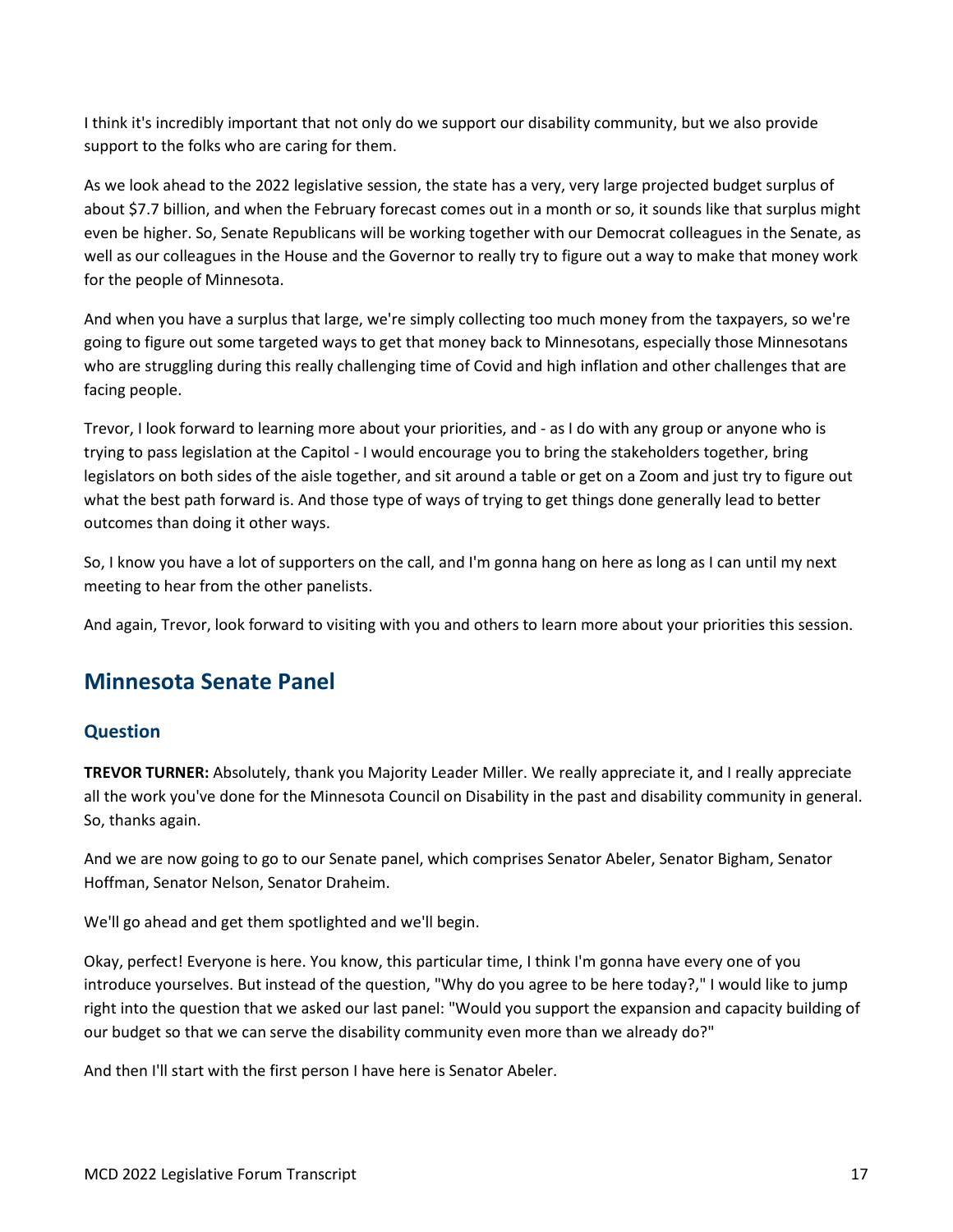I think it's incredibly important that not only do we support our disability community, but we also provide support to the folks who are caring for them.

As we look ahead to the 2022 legislative session, the state has a very, very large projected budget surplus of about \$7.7 billion, and when the February forecast comes out in a month or so, it sounds like that surplus might even be higher. So, Senate Republicans will be working together with our Democrat colleagues in the Senate, as well as our colleagues in the House and the Governor to really try to figure out a way to make that money work for the people of Minnesota.

And when you have a surplus that large, we're simply collecting too much money from the taxpayers, so we're going to figure out some targeted ways to get that money back to Minnesotans, especially those Minnesotans who are struggling during this really challenging time of Covid and high inflation and other challenges that are facing people.

Trevor, I look forward to learning more about your priorities, and - as I do with any group or anyone who is trying to pass legislation at the Capitol - I would encourage you to bring the stakeholders together, bring legislators on both sides of the aisle together, and sit around a table or get on a Zoom and just try to figure out what the best path forward is. And those type of ways of trying to get things done generally lead to better outcomes than doing it other ways.

So, I know you have a lot of supporters on the call, and I'm gonna hang on here as long as I can until my next meeting to hear from the other panelists.

And again, Trevor, look forward to visiting with you and others to learn more about your priorities this session.

## <span id="page-16-0"></span>**Minnesota Senate Panel**

## <span id="page-16-1"></span>**Question**

**TREVOR TURNER:** Absolutely, thank you Majority Leader Miller. We really appreciate it, and I really appreciate all the work you've done for the Minnesota Council on Disability in the past and disability community in general. So, thanks again.

And we are now going to go to our Senate panel, which comprises Senator Abeler, Senator Bigham, Senator Hoffman, Senator Nelson, Senator Draheim.

We'll go ahead and get them spotlighted and we'll begin.

Okay, perfect! Everyone is here. You know, this particular time, I think I'm gonna have every one of you introduce yourselves. But instead of the question, "Why do you agree to be here today?," I would like to jump right into the question that we asked our last panel: "Would you support the expansion and capacity building of our budget so that we can serve the disability community even more than we already do?"

And then I'll start with the first person I have here is Senator Abeler.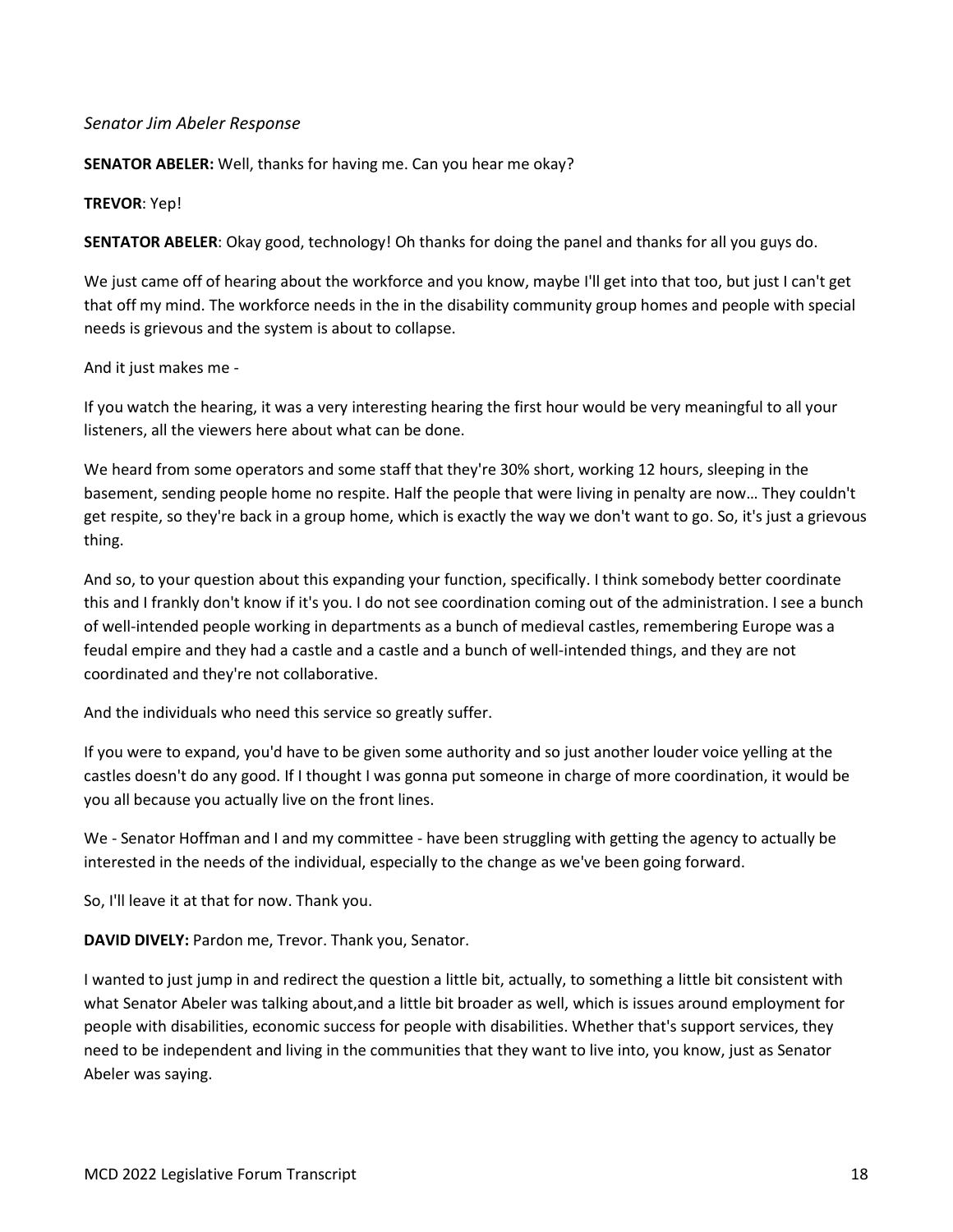#### <span id="page-17-0"></span>*Senator Jim Abeler Response*

**SENATOR ABELER:** Well, thanks for having me. Can you hear me okay?

#### **TREVOR**: Yep!

**SENTATOR ABELER**: Okay good, technology! Oh thanks for doing the panel and thanks for all you guys do.

We just came off of hearing about the workforce and you know, maybe I'll get into that too, but just I can't get that off my mind. The workforce needs in the in the disability community group homes and people with special needs is grievous and the system is about to collapse.

And it just makes me -

If you watch the hearing, it was a very interesting hearing the first hour would be very meaningful to all your listeners, all the viewers here about what can be done.

We heard from some operators and some staff that they're 30% short, working 12 hours, sleeping in the basement, sending people home no respite. Half the people that were living in penalty are now… They couldn't get respite, so they're back in a group home, which is exactly the way we don't want to go. So, it's just a grievous thing.

And so, to your question about this expanding your function, specifically. I think somebody better coordinate this and I frankly don't know if it's you. I do not see coordination coming out of the administration. I see a bunch of well-intended people working in departments as a bunch of medieval castles, remembering Europe was a feudal empire and they had a castle and a castle and a bunch of well-intended things, and they are not coordinated and they're not collaborative.

And the individuals who need this service so greatly suffer.

If you were to expand, you'd have to be given some authority and so just another louder voice yelling at the castles doesn't do any good. If I thought I was gonna put someone in charge of more coordination, it would be you all because you actually live on the front lines.

We - Senator Hoffman and I and my committee - have been struggling with getting the agency to actually be interested in the needs of the individual, especially to the change as we've been going forward.

So, I'll leave it at that for now. Thank you.

**DAVID DIVELY:** Pardon me, Trevor. Thank you, Senator.

I wanted to just jump in and redirect the question a little bit, actually, to something a little bit consistent with what Senator Abeler was talking about,and a little bit broader as well, which is issues around employment for people with disabilities, economic success for people with disabilities. Whether that's support services, they need to be independent and living in the communities that they want to live into, you know, just as Senator Abeler was saying.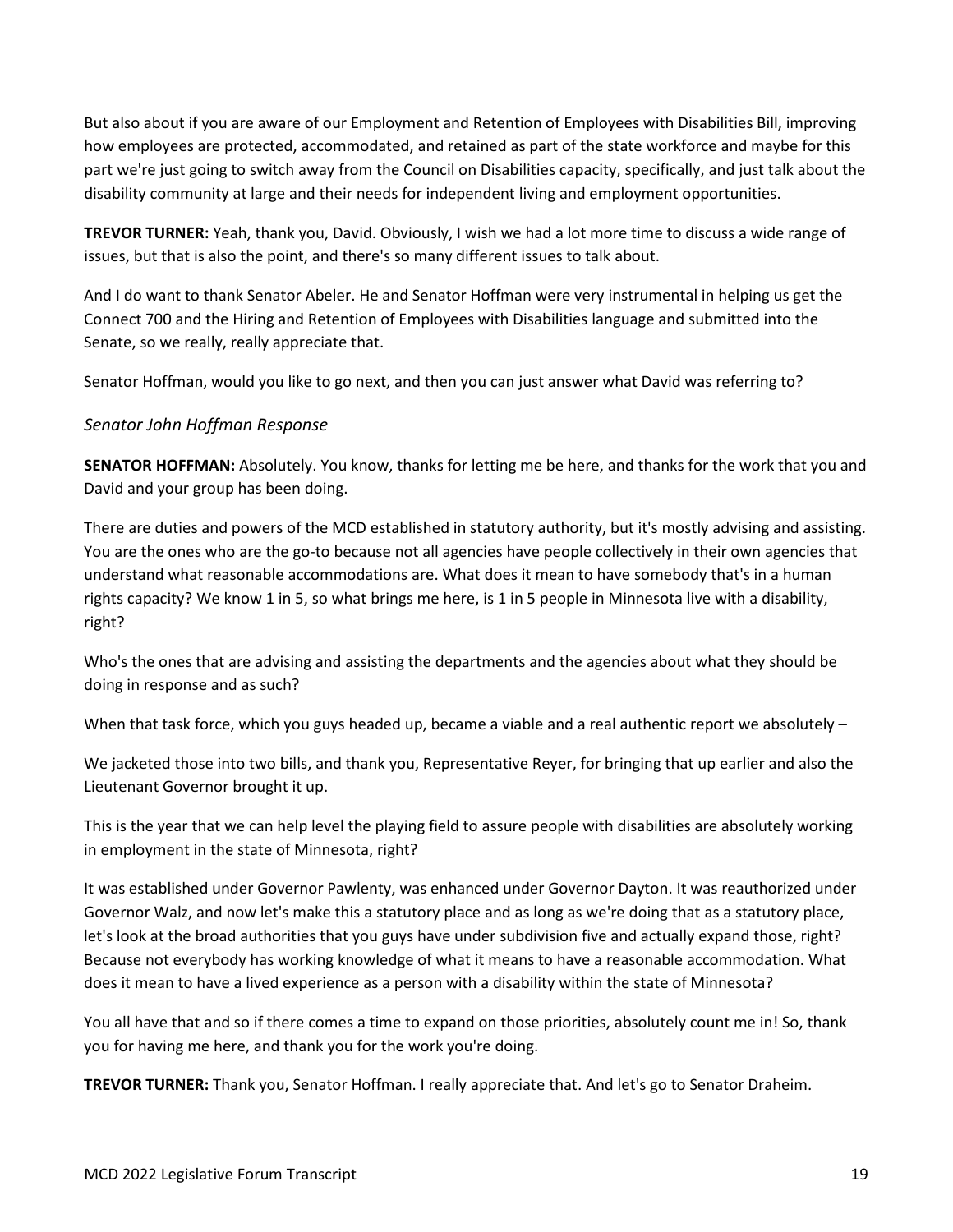But also about if you are aware of our Employment and Retention of Employees with Disabilities Bill, improving how employees are protected, accommodated, and retained as part of the state workforce and maybe for this part we're just going to switch away from the Council on Disabilities capacity, specifically, and just talk about the disability community at large and their needs for independent living and employment opportunities.

**TREVOR TURNER:** Yeah, thank you, David. Obviously, I wish we had a lot more time to discuss a wide range of issues, but that is also the point, and there's so many different issues to talk about.

And I do want to thank Senator Abeler. He and Senator Hoffman were very instrumental in helping us get the Connect 700 and the Hiring and Retention of Employees with Disabilities language and submitted into the Senate, so we really, really appreciate that.

Senator Hoffman, would you like to go next, and then you can just answer what David was referring to?

#### <span id="page-18-0"></span>*Senator John Hoffman Response*

**SENATOR HOFFMAN:** Absolutely. You know, thanks for letting me be here, and thanks for the work that you and David and your group has been doing.

There are duties and powers of the MCD established in statutory authority, but it's mostly advising and assisting. You are the ones who are the go-to because not all agencies have people collectively in their own agencies that understand what reasonable accommodations are. What does it mean to have somebody that's in a human rights capacity? We know 1 in 5, so what brings me here, is 1 in 5 people in Minnesota live with a disability, right?

Who's the ones that are advising and assisting the departments and the agencies about what they should be doing in response and as such?

When that task force, which you guys headed up, became a viable and a real authentic report we absolutely –

We jacketed those into two bills, and thank you, Representative Reyer, for bringing that up earlier and also the Lieutenant Governor brought it up.

This is the year that we can help level the playing field to assure people with disabilities are absolutely working in employment in the state of Minnesota, right?

It was established under Governor Pawlenty, was enhanced under Governor Dayton. It was reauthorized under Governor Walz, and now let's make this a statutory place and as long as we're doing that as a statutory place, let's look at the broad authorities that you guys have under subdivision five and actually expand those, right? Because not everybody has working knowledge of what it means to have a reasonable accommodation. What does it mean to have a lived experience as a person with a disability within the state of Minnesota?

You all have that and so if there comes a time to expand on those priorities, absolutely count me in! So, thank you for having me here, and thank you for the work you're doing.

**TREVOR TURNER:** Thank you, Senator Hoffman. I really appreciate that. And let's go to Senator Draheim.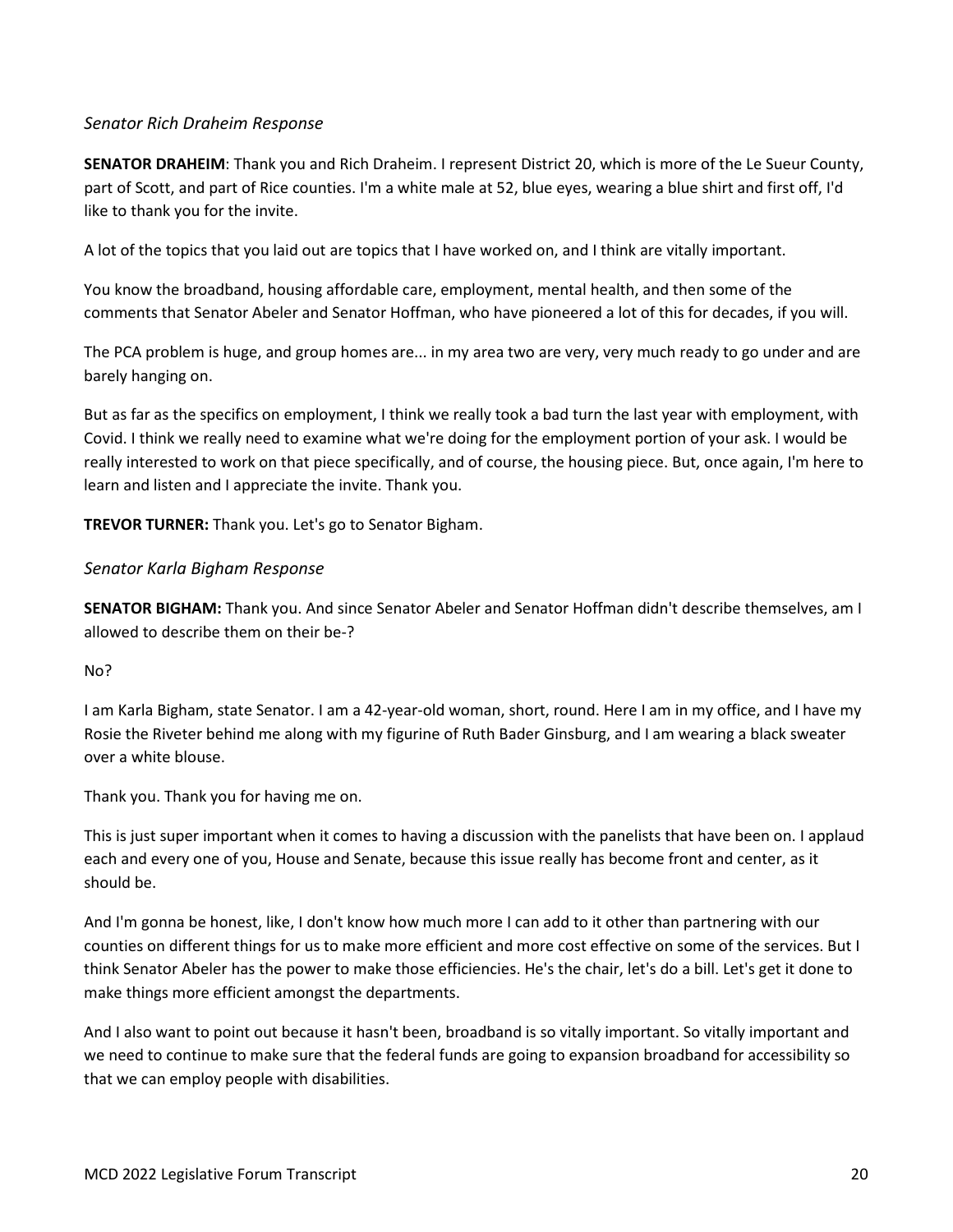#### <span id="page-19-0"></span>*Senator Rich Draheim Response*

**SENATOR DRAHEIM**: Thank you and Rich Draheim. I represent District 20, which is more of the Le Sueur County, part of Scott, and part of Rice counties. I'm a white male at 52, blue eyes, wearing a blue shirt and first off, I'd like to thank you for the invite.

A lot of the topics that you laid out are topics that I have worked on, and I think are vitally important.

You know the broadband, housing affordable care, employment, mental health, and then some of the comments that Senator Abeler and Senator Hoffman, who have pioneered a lot of this for decades, if you will.

The PCA problem is huge, and group homes are... in my area two are very, very much ready to go under and are barely hanging on.

But as far as the specifics on employment, I think we really took a bad turn the last year with employment, with Covid. I think we really need to examine what we're doing for the employment portion of your ask. I would be really interested to work on that piece specifically, and of course, the housing piece. But, once again, I'm here to learn and listen and I appreciate the invite. Thank you.

**TREVOR TURNER:** Thank you. Let's go to Senator Bigham.

#### <span id="page-19-1"></span>*Senator Karla Bigham Response*

**SENATOR BIGHAM:** Thank you. And since Senator Abeler and Senator Hoffman didn't describe themselves, am I allowed to describe them on their be-?

#### No?

I am Karla Bigham, state Senator. I am a 42-year-old woman, short, round. Here I am in my office, and I have my Rosie the Riveter behind me along with my figurine of Ruth Bader Ginsburg, and I am wearing a black sweater over a white blouse.

Thank you. Thank you for having me on.

This is just super important when it comes to having a discussion with the panelists that have been on. I applaud each and every one of you, House and Senate, because this issue really has become front and center, as it should be.

And I'm gonna be honest, like, I don't know how much more I can add to it other than partnering with our counties on different things for us to make more efficient and more cost effective on some of the services. But I think Senator Abeler has the power to make those efficiencies. He's the chair, let's do a bill. Let's get it done to make things more efficient amongst the departments.

And I also want to point out because it hasn't been, broadband is so vitally important. So vitally important and we need to continue to make sure that the federal funds are going to expansion broadband for accessibility so that we can employ people with disabilities.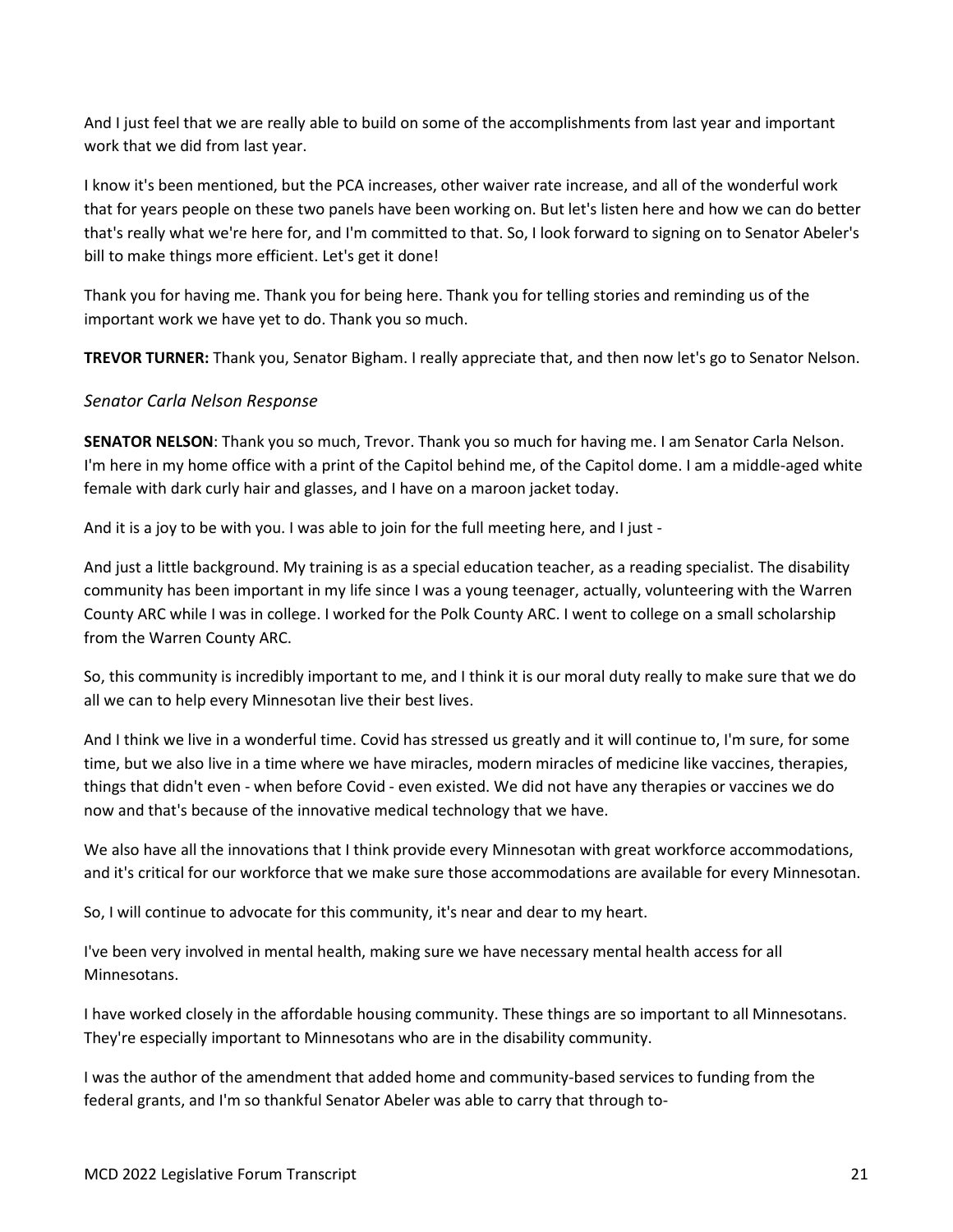And I just feel that we are really able to build on some of the accomplishments from last year and important work that we did from last year.

I know it's been mentioned, but the PCA increases, other waiver rate increase, and all of the wonderful work that for years people on these two panels have been working on. But let's listen here and how we can do better that's really what we're here for, and I'm committed to that. So, I look forward to signing on to Senator Abeler's bill to make things more efficient. Let's get it done!

Thank you for having me. Thank you for being here. Thank you for telling stories and reminding us of the important work we have yet to do. Thank you so much.

**TREVOR TURNER:** Thank you, Senator Bigham. I really appreciate that, and then now let's go to Senator Nelson.

#### <span id="page-20-0"></span>*Senator Carla Nelson Response*

**SENATOR NELSON**: Thank you so much, Trevor. Thank you so much for having me. I am Senator Carla Nelson. I'm here in my home office with a print of the Capitol behind me, of the Capitol dome. I am a middle-aged white female with dark curly hair and glasses, and I have on a maroon jacket today.

And it is a joy to be with you. I was able to join for the full meeting here, and I just -

And just a little background. My training is as a special education teacher, as a reading specialist. The disability community has been important in my life since I was a young teenager, actually, volunteering with the Warren County ARC while I was in college. I worked for the Polk County ARC. I went to college on a small scholarship from the Warren County ARC.

So, this community is incredibly important to me, and I think it is our moral duty really to make sure that we do all we can to help every Minnesotan live their best lives.

And I think we live in a wonderful time. Covid has stressed us greatly and it will continue to, I'm sure, for some time, but we also live in a time where we have miracles, modern miracles of medicine like vaccines, therapies, things that didn't even - when before Covid - even existed. We did not have any therapies or vaccines we do now and that's because of the innovative medical technology that we have.

We also have all the innovations that I think provide every Minnesotan with great workforce accommodations, and it's critical for our workforce that we make sure those accommodations are available for every Minnesotan.

So, I will continue to advocate for this community, it's near and dear to my heart.

I've been very involved in mental health, making sure we have necessary mental health access for all Minnesotans.

I have worked closely in the affordable housing community. These things are so important to all Minnesotans. They're especially important to Minnesotans who are in the disability community.

I was the author of the amendment that added home and community-based services to funding from the federal grants, and I'm so thankful Senator Abeler was able to carry that through to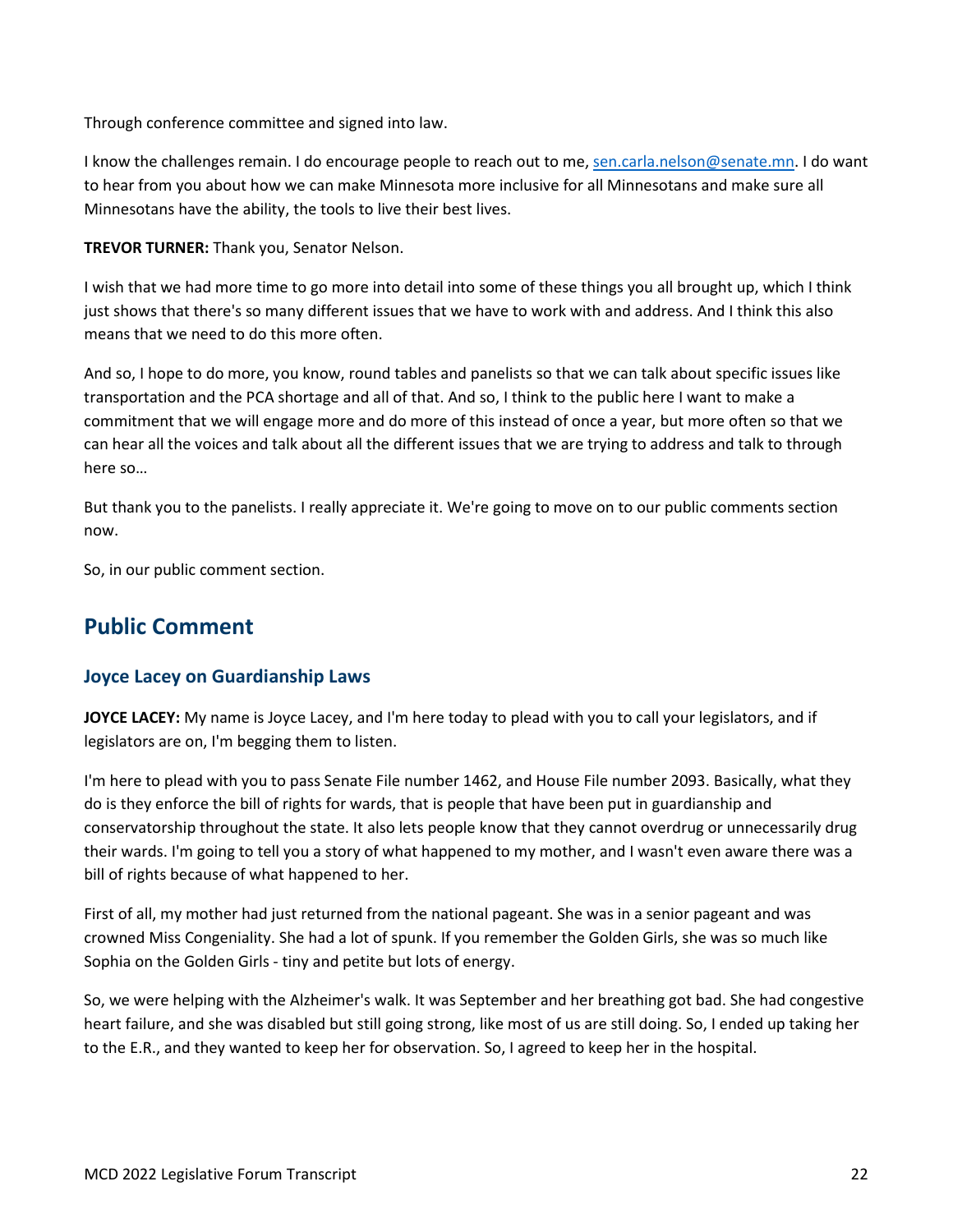Through conference committee and signed into law.

I know the challenges remain. I do encourage people to reach out to me, [sen.carla.nelson@senate.mn.](mailto:sen.carla.nelson@senate.mn) I do want to hear from you about how we can make Minnesota more inclusive for all Minnesotans and make sure all Minnesotans have the ability, the tools to live their best lives.

**TREVOR TURNER:** Thank you, Senator Nelson.

I wish that we had more time to go more into detail into some of these things you all brought up, which I think just shows that there's so many different issues that we have to work with and address. And I think this also means that we need to do this more often.

And so, I hope to do more, you know, round tables and panelists so that we can talk about specific issues like transportation and the PCA shortage and all of that. And so, I think to the public here I want to make a commitment that we will engage more and do more of this instead of once a year, but more often so that we can hear all the voices and talk about all the different issues that we are trying to address and talk to through here so…

But thank you to the panelists. I really appreciate it. We're going to move on to our public comments section now.

So, in our public comment section.

## <span id="page-21-0"></span>**Public Comment**

## <span id="page-21-1"></span>**Joyce Lacey on Guardianship Laws**

**JOYCE LACEY:** My name is Joyce Lacey, and I'm here today to plead with you to call your legislators, and if legislators are on, I'm begging them to listen.

I'm here to plead with you to pass Senate File number 1462, and House File number 2093. Basically, what they do is they enforce the bill of rights for wards, that is people that have been put in guardianship and conservatorship throughout the state. It also lets people know that they cannot overdrug or unnecessarily drug their wards. I'm going to tell you a story of what happened to my mother, and I wasn't even aware there was a bill of rights because of what happened to her.

First of all, my mother had just returned from the national pageant. She was in a senior pageant and was crowned Miss Congeniality. She had a lot of spunk. If you remember the Golden Girls, she was so much like Sophia on the Golden Girls - tiny and petite but lots of energy.

So, we were helping with the Alzheimer's walk. It was September and her breathing got bad. She had congestive heart failure, and she was disabled but still going strong, like most of us are still doing. So, I ended up taking her to the E.R., and they wanted to keep her for observation. So, I agreed to keep her in the hospital.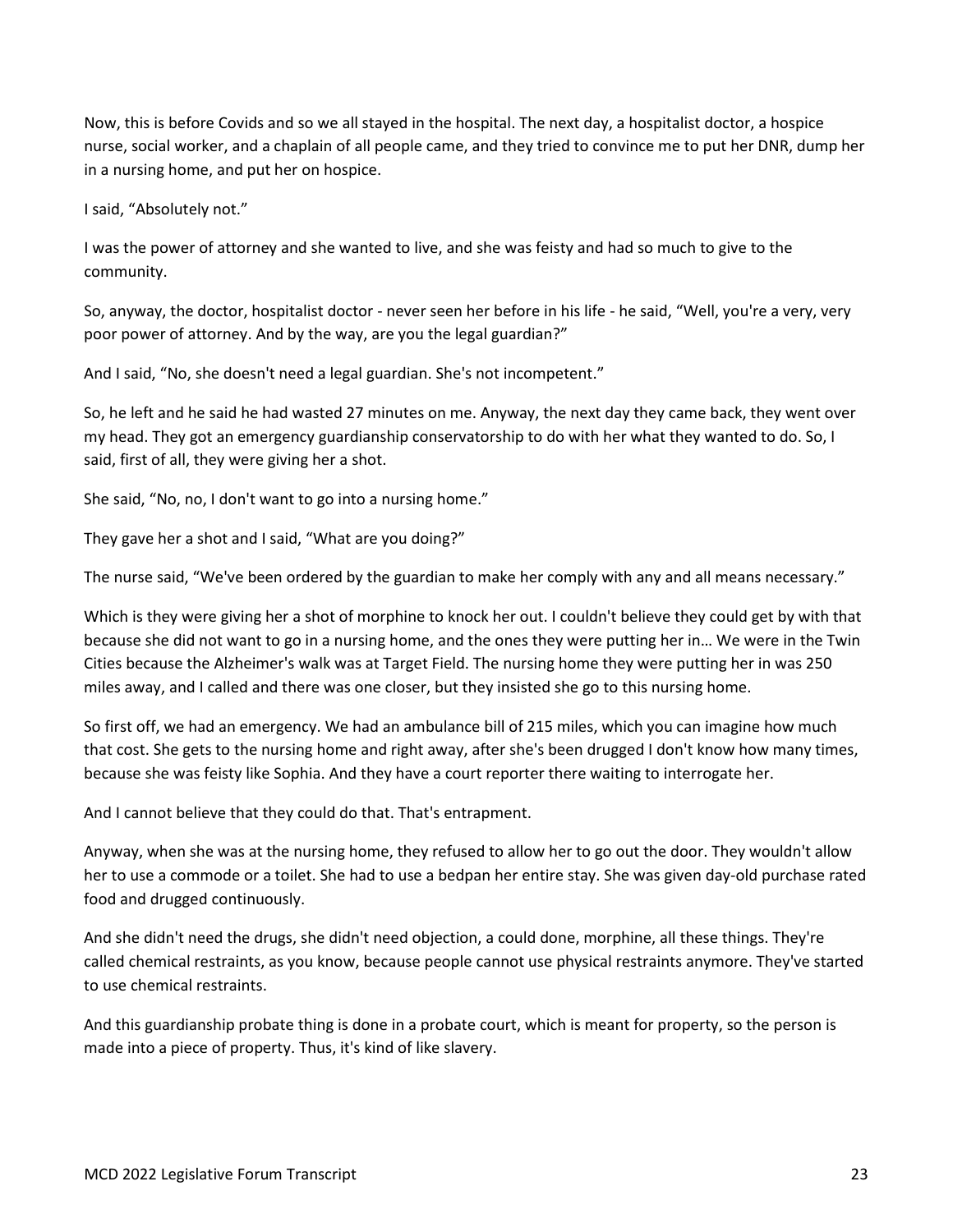Now, this is before Covids and so we all stayed in the hospital. The next day, a hospitalist doctor, a hospice nurse, social worker, and a chaplain of all people came, and they tried to convince me to put her DNR, dump her in a nursing home, and put her on hospice.

I said, "Absolutely not."

I was the power of attorney and she wanted to live, and she was feisty and had so much to give to the community.

So, anyway, the doctor, hospitalist doctor - never seen her before in his life - he said, "Well, you're a very, very poor power of attorney. And by the way, are you the legal guardian?"

And I said, "No, she doesn't need a legal guardian. She's not incompetent."

So, he left and he said he had wasted 27 minutes on me. Anyway, the next day they came back, they went over my head. They got an emergency guardianship conservatorship to do with her what they wanted to do. So, I said, first of all, they were giving her a shot.

She said, "No, no, I don't want to go into a nursing home."

They gave her a shot and I said, "What are you doing?"

The nurse said, "We've been ordered by the guardian to make her comply with any and all means necessary."

Which is they were giving her a shot of morphine to knock her out. I couldn't believe they could get by with that because she did not want to go in a nursing home, and the ones they were putting her in… We were in the Twin Cities because the Alzheimer's walk was at Target Field. The nursing home they were putting her in was 250 miles away, and I called and there was one closer, but they insisted she go to this nursing home.

So first off, we had an emergency. We had an ambulance bill of 215 miles, which you can imagine how much that cost. She gets to the nursing home and right away, after she's been drugged I don't know how many times, because she was feisty like Sophia. And they have a court reporter there waiting to interrogate her.

And I cannot believe that they could do that. That's entrapment.

Anyway, when she was at the nursing home, they refused to allow her to go out the door. They wouldn't allow her to use a commode or a toilet. She had to use a bedpan her entire stay. She was given day-old purchase rated food and drugged continuously.

And she didn't need the drugs, she didn't need objection, a could done, morphine, all these things. They're called chemical restraints, as you know, because people cannot use physical restraints anymore. They've started to use chemical restraints.

And this guardianship probate thing is done in a probate court, which is meant for property, so the person is made into a piece of property. Thus, it's kind of like slavery.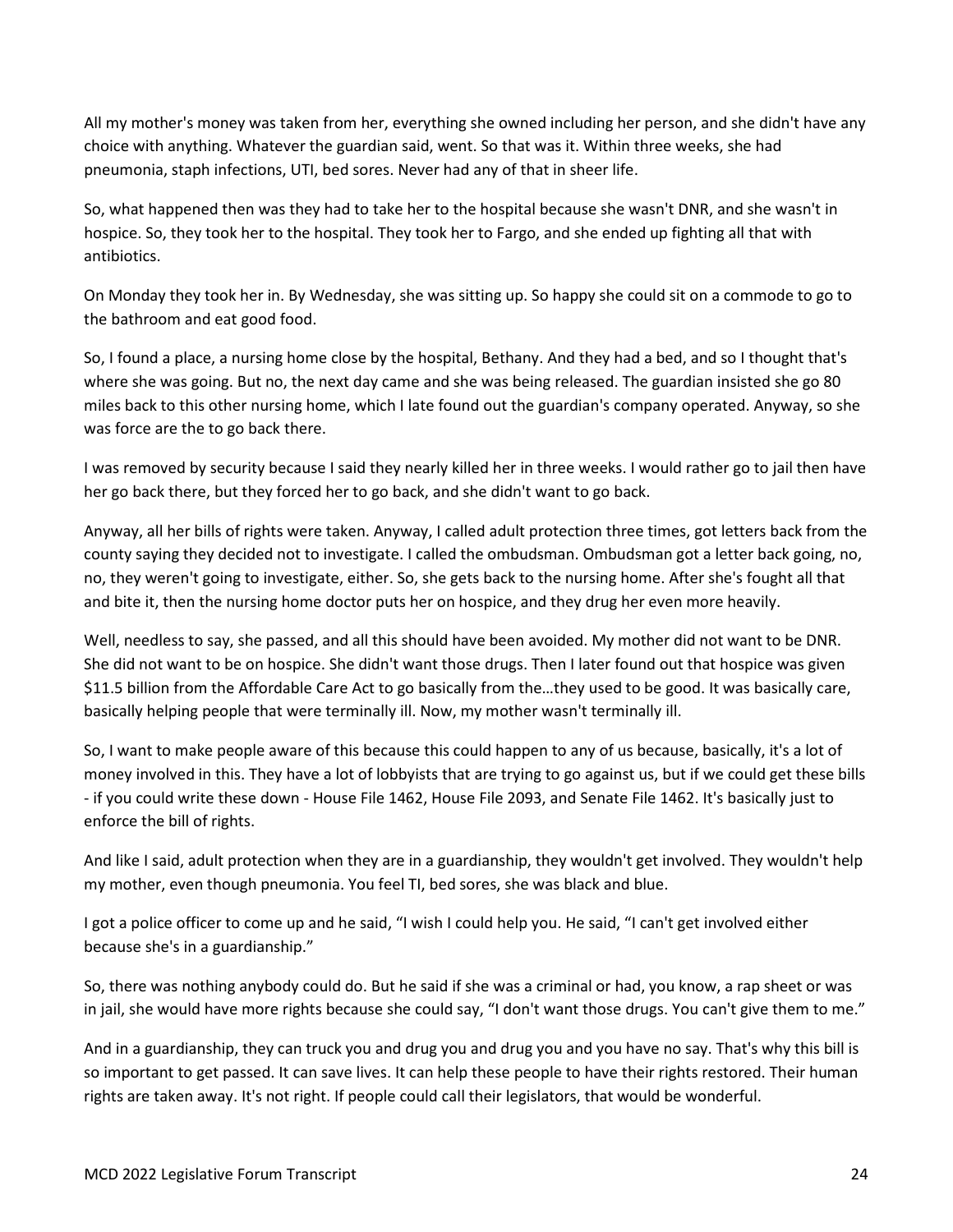All my mother's money was taken from her, everything she owned including her person, and she didn't have any choice with anything. Whatever the guardian said, went. So that was it. Within three weeks, she had pneumonia, staph infections, UTI, bed sores. Never had any of that in sheer life.

So, what happened then was they had to take her to the hospital because she wasn't DNR, and she wasn't in hospice. So, they took her to the hospital. They took her to Fargo, and she ended up fighting all that with antibiotics.

On Monday they took her in. By Wednesday, she was sitting up. So happy she could sit on a commode to go to the bathroom and eat good food.

So, I found a place, a nursing home close by the hospital, Bethany. And they had a bed, and so I thought that's where she was going. But no, the next day came and she was being released. The guardian insisted she go 80 miles back to this other nursing home, which I late found out the guardian's company operated. Anyway, so she was force are the to go back there.

I was removed by security because I said they nearly killed her in three weeks. I would rather go to jail then have her go back there, but they forced her to go back, and she didn't want to go back.

Anyway, all her bills of rights were taken. Anyway, I called adult protection three times, got letters back from the county saying they decided not to investigate. I called the ombudsman. Ombudsman got a letter back going, no, no, they weren't going to investigate, either. So, she gets back to the nursing home. After she's fought all that and bite it, then the nursing home doctor puts her on hospice, and they drug her even more heavily.

Well, needless to say, she passed, and all this should have been avoided. My mother did not want to be DNR. She did not want to be on hospice. She didn't want those drugs. Then I later found out that hospice was given \$11.5 billion from the Affordable Care Act to go basically from the…they used to be good. It was basically care, basically helping people that were terminally ill. Now, my mother wasn't terminally ill.

So, I want to make people aware of this because this could happen to any of us because, basically, it's a lot of money involved in this. They have a lot of lobbyists that are trying to go against us, but if we could get these bills - if you could write these down - House File 1462, House File 2093, and Senate File 1462. It's basically just to enforce the bill of rights.

And like I said, adult protection when they are in a guardianship, they wouldn't get involved. They wouldn't help my mother, even though pneumonia. You feel TI, bed sores, she was black and blue.

I got a police officer to come up and he said, "I wish I could help you. He said, "I can't get involved either because she's in a guardianship."

So, there was nothing anybody could do. But he said if she was a criminal or had, you know, a rap sheet or was in jail, she would have more rights because she could say, "I don't want those drugs. You can't give them to me."

And in a guardianship, they can truck you and drug you and drug you and you have no say. That's why this bill is so important to get passed. It can save lives. It can help these people to have their rights restored. Their human rights are taken away. It's not right. If people could call their legislators, that would be wonderful.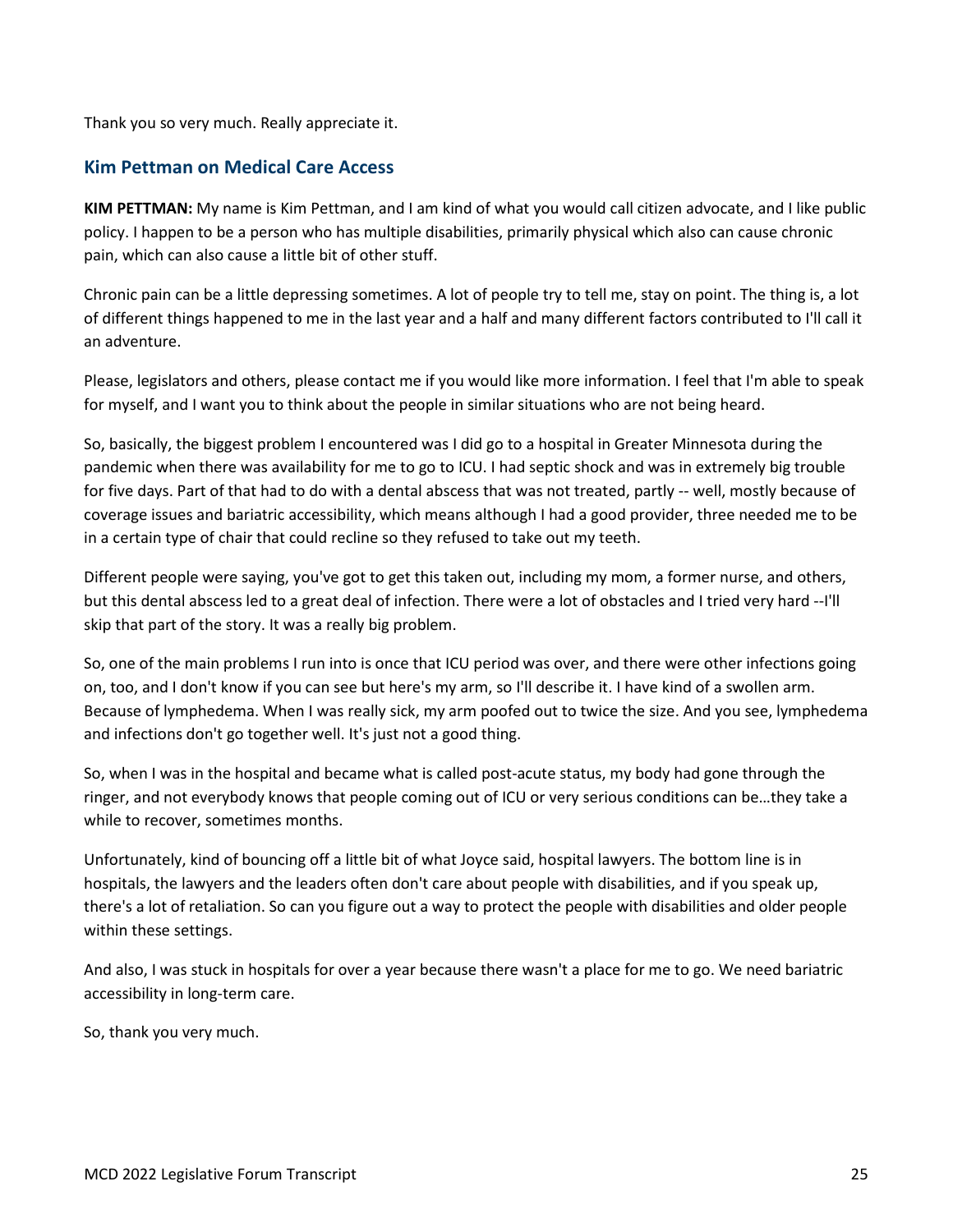Thank you so very much. Really appreciate it.

## <span id="page-24-0"></span>**Kim Pettman on Medical Care Access**

**KIM PETTMAN:** My name is Kim Pettman, and I am kind of what you would call citizen advocate, and I like public policy. I happen to be a person who has multiple disabilities, primarily physical which also can cause chronic pain, which can also cause a little bit of other stuff.

Chronic pain can be a little depressing sometimes. A lot of people try to tell me, stay on point. The thing is, a lot of different things happened to me in the last year and a half and many different factors contributed to I'll call it an adventure.

Please, legislators and others, please contact me if you would like more information. I feel that I'm able to speak for myself, and I want you to think about the people in similar situations who are not being heard.

So, basically, the biggest problem I encountered was I did go to a hospital in Greater Minnesota during the pandemic when there was availability for me to go to ICU. I had septic shock and was in extremely big trouble for five days. Part of that had to do with a dental abscess that was not treated, partly -- well, mostly because of coverage issues and bariatric accessibility, which means although I had a good provider, three needed me to be in a certain type of chair that could recline so they refused to take out my teeth.

Different people were saying, you've got to get this taken out, including my mom, a former nurse, and others, but this dental abscess led to a great deal of infection. There were a lot of obstacles and I tried very hard --I'll skip that part of the story. It was a really big problem.

So, one of the main problems I run into is once that ICU period was over, and there were other infections going on, too, and I don't know if you can see but here's my arm, so I'll describe it. I have kind of a swollen arm. Because of lymphedema. When I was really sick, my arm poofed out to twice the size. And you see, lymphedema and infections don't go together well. It's just not a good thing.

So, when I was in the hospital and became what is called post-acute status, my body had gone through the ringer, and not everybody knows that people coming out of ICU or very serious conditions can be…they take a while to recover, sometimes months.

Unfortunately, kind of bouncing off a little bit of what Joyce said, hospital lawyers. The bottom line is in hospitals, the lawyers and the leaders often don't care about people with disabilities, and if you speak up, there's a lot of retaliation. So can you figure out a way to protect the people with disabilities and older people within these settings.

And also, I was stuck in hospitals for over a year because there wasn't a place for me to go. We need bariatric accessibility in long-term care.

So, thank you very much.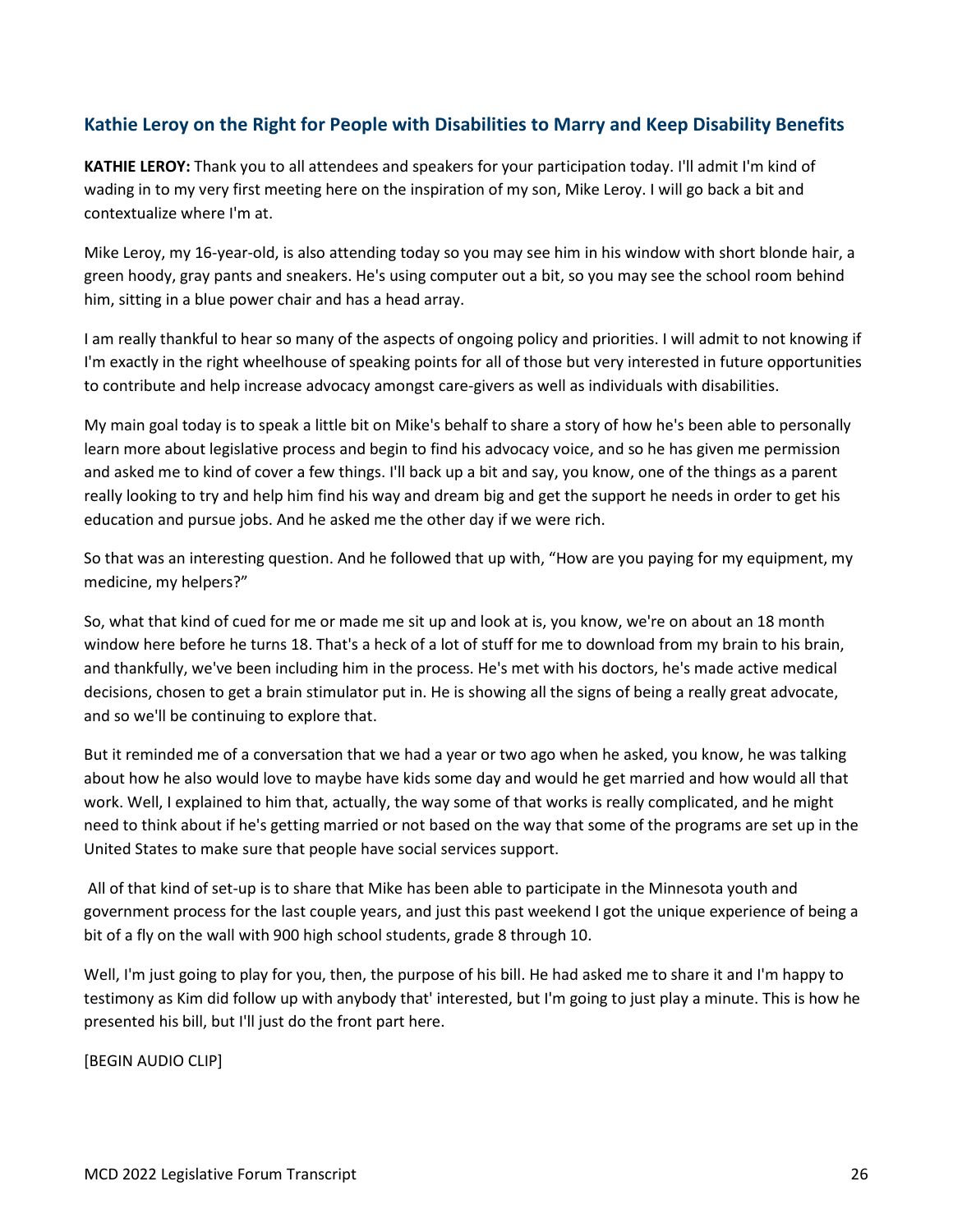## <span id="page-25-0"></span>**Kathie Leroy on the Right for People with Disabilities to Marry and Keep Disability Benefits**

**KATHIE LEROY:** Thank you to all attendees and speakers for your participation today. I'll admit I'm kind of wading in to my very first meeting here on the inspiration of my son, Mike Leroy. I will go back a bit and contextualize where I'm at.

Mike Leroy, my 16-year-old, is also attending today so you may see him in his window with short blonde hair, a green hoody, gray pants and sneakers. He's using computer out a bit, so you may see the school room behind him, sitting in a blue power chair and has a head array.

I am really thankful to hear so many of the aspects of ongoing policy and priorities. I will admit to not knowing if I'm exactly in the right wheelhouse of speaking points for all of those but very interested in future opportunities to contribute and help increase advocacy amongst care-givers as well as individuals with disabilities.

My main goal today is to speak a little bit on Mike's behalf to share a story of how he's been able to personally learn more about legislative process and begin to find his advocacy voice, and so he has given me permission and asked me to kind of cover a few things. I'll back up a bit and say, you know, one of the things as a parent really looking to try and help him find his way and dream big and get the support he needs in order to get his education and pursue jobs. And he asked me the other day if we were rich.

So that was an interesting question. And he followed that up with, "How are you paying for my equipment, my medicine, my helpers?"

So, what that kind of cued for me or made me sit up and look at is, you know, we're on about an 18 month window here before he turns 18. That's a heck of a lot of stuff for me to download from my brain to his brain, and thankfully, we've been including him in the process. He's met with his doctors, he's made active medical decisions, chosen to get a brain stimulator put in. He is showing all the signs of being a really great advocate, and so we'll be continuing to explore that.

But it reminded me of a conversation that we had a year or two ago when he asked, you know, he was talking about how he also would love to maybe have kids some day and would he get married and how would all that work. Well, I explained to him that, actually, the way some of that works is really complicated, and he might need to think about if he's getting married or not based on the way that some of the programs are set up in the United States to make sure that people have social services support.

All of that kind of set-up is to share that Mike has been able to participate in the Minnesota youth and government process for the last couple years, and just this past weekend I got the unique experience of being a bit of a fly on the wall with 900 high school students, grade 8 through 10.

Well, I'm just going to play for you, then, the purpose of his bill. He had asked me to share it and I'm happy to testimony as Kim did follow up with anybody that' interested, but I'm going to just play a minute. This is how he presented his bill, but I'll just do the front part here.

[BEGIN AUDIO CLIP]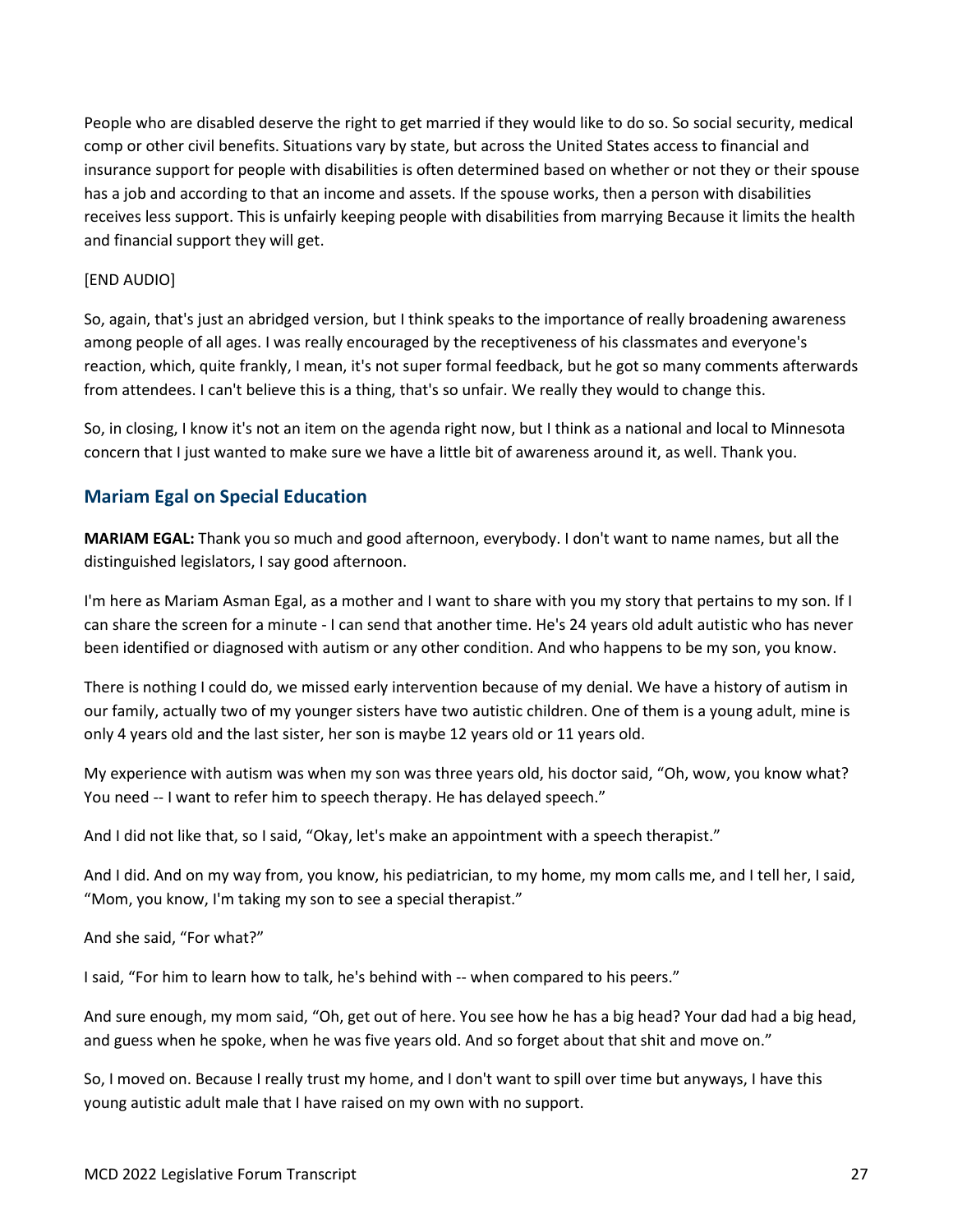People who are disabled deserve the right to get married if they would like to do so. So social security, medical comp or other civil benefits. Situations vary by state, but across the United States access to financial and insurance support for people with disabilities is often determined based on whether or not they or their spouse has a job and according to that an income and assets. If the spouse works, then a person with disabilities receives less support. This is unfairly keeping people with disabilities from marrying Because it limits the health and financial support they will get.

#### [END AUDIO]

So, again, that's just an abridged version, but I think speaks to the importance of really broadening awareness among people of all ages. I was really encouraged by the receptiveness of his classmates and everyone's reaction, which, quite frankly, I mean, it's not super formal feedback, but he got so many comments afterwards from attendees. I can't believe this is a thing, that's so unfair. We really they would to change this.

So, in closing, I know it's not an item on the agenda right now, but I think as a national and local to Minnesota concern that I just wanted to make sure we have a little bit of awareness around it, as well. Thank you.

## <span id="page-26-0"></span>**Mariam Egal on Special Education**

**MARIAM EGAL:** Thank you so much and good afternoon, everybody. I don't want to name names, but all the distinguished legislators, I say good afternoon.

I'm here as Mariam Asman Egal, as a mother and I want to share with you my story that pertains to my son. If I can share the screen for a minute - I can send that another time. He's 24 years old adult autistic who has never been identified or diagnosed with autism or any other condition. And who happens to be my son, you know.

There is nothing I could do, we missed early intervention because of my denial. We have a history of autism in our family, actually two of my younger sisters have two autistic children. One of them is a young adult, mine is only 4 years old and the last sister, her son is maybe 12 years old or 11 years old.

My experience with autism was when my son was three years old, his doctor said, "Oh, wow, you know what? You need -- I want to refer him to speech therapy. He has delayed speech."

And I did not like that, so I said, "Okay, let's make an appointment with a speech therapist."

And I did. And on my way from, you know, his pediatrician, to my home, my mom calls me, and I tell her, I said, "Mom, you know, I'm taking my son to see a special therapist."

And she said, "For what?"

I said, "For him to learn how to talk, he's behind with -- when compared to his peers."

And sure enough, my mom said, "Oh, get out of here. You see how he has a big head? Your dad had a big head, and guess when he spoke, when he was five years old. And so forget about that shit and move on."

So, I moved on. Because I really trust my home, and I don't want to spill over time but anyways, I have this young autistic adult male that I have raised on my own with no support.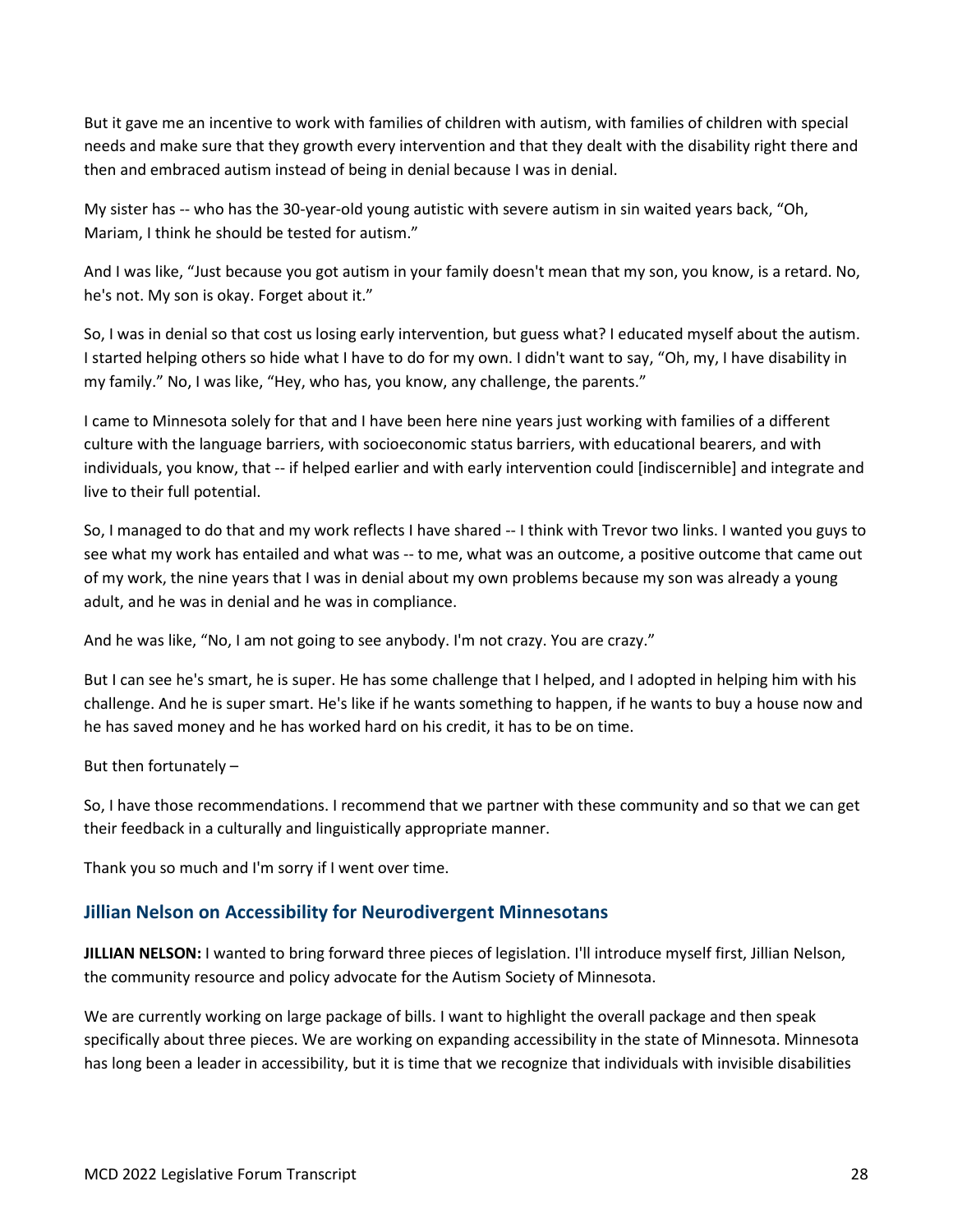But it gave me an incentive to work with families of children with autism, with families of children with special needs and make sure that they growth every intervention and that they dealt with the disability right there and then and embraced autism instead of being in denial because I was in denial.

My sister has -- who has the 30-year-old young autistic with severe autism in sin waited years back, "Oh, Mariam, I think he should be tested for autism."

And I was like, "Just because you got autism in your family doesn't mean that my son, you know, is a retard. No, he's not. My son is okay. Forget about it."

So, I was in denial so that cost us losing early intervention, but guess what? I educated myself about the autism. I started helping others so hide what I have to do for my own. I didn't want to say, "Oh, my, I have disability in my family." No, I was like, "Hey, who has, you know, any challenge, the parents."

I came to Minnesota solely for that and I have been here nine years just working with families of a different culture with the language barriers, with socioeconomic status barriers, with educational bearers, and with individuals, you know, that -- if helped earlier and with early intervention could [indiscernible] and integrate and live to their full potential.

So, I managed to do that and my work reflects I have shared -- I think with Trevor two links. I wanted you guys to see what my work has entailed and what was -- to me, what was an outcome, a positive outcome that came out of my work, the nine years that I was in denial about my own problems because my son was already a young adult, and he was in denial and he was in compliance.

And he was like, "No, I am not going to see anybody. I'm not crazy. You are crazy."

But I can see he's smart, he is super. He has some challenge that I helped, and I adopted in helping him with his challenge. And he is super smart. He's like if he wants something to happen, if he wants to buy a house now and he has saved money and he has worked hard on his credit, it has to be on time.

But then fortunately –

So, I have those recommendations. I recommend that we partner with these community and so that we can get their feedback in a culturally and linguistically appropriate manner.

Thank you so much and I'm sorry if I went over time.

## <span id="page-27-0"></span>**Jillian Nelson on Accessibility for Neurodivergent Minnesotans**

**JILLIAN NELSON:** I wanted to bring forward three pieces of legislation. I'll introduce myself first, Jillian Nelson, the community resource and policy advocate for the Autism Society of Minnesota.

We are currently working on large package of bills. I want to highlight the overall package and then speak specifically about three pieces. We are working on expanding accessibility in the state of Minnesota. Minnesota has long been a leader in accessibility, but it is time that we recognize that individuals with invisible disabilities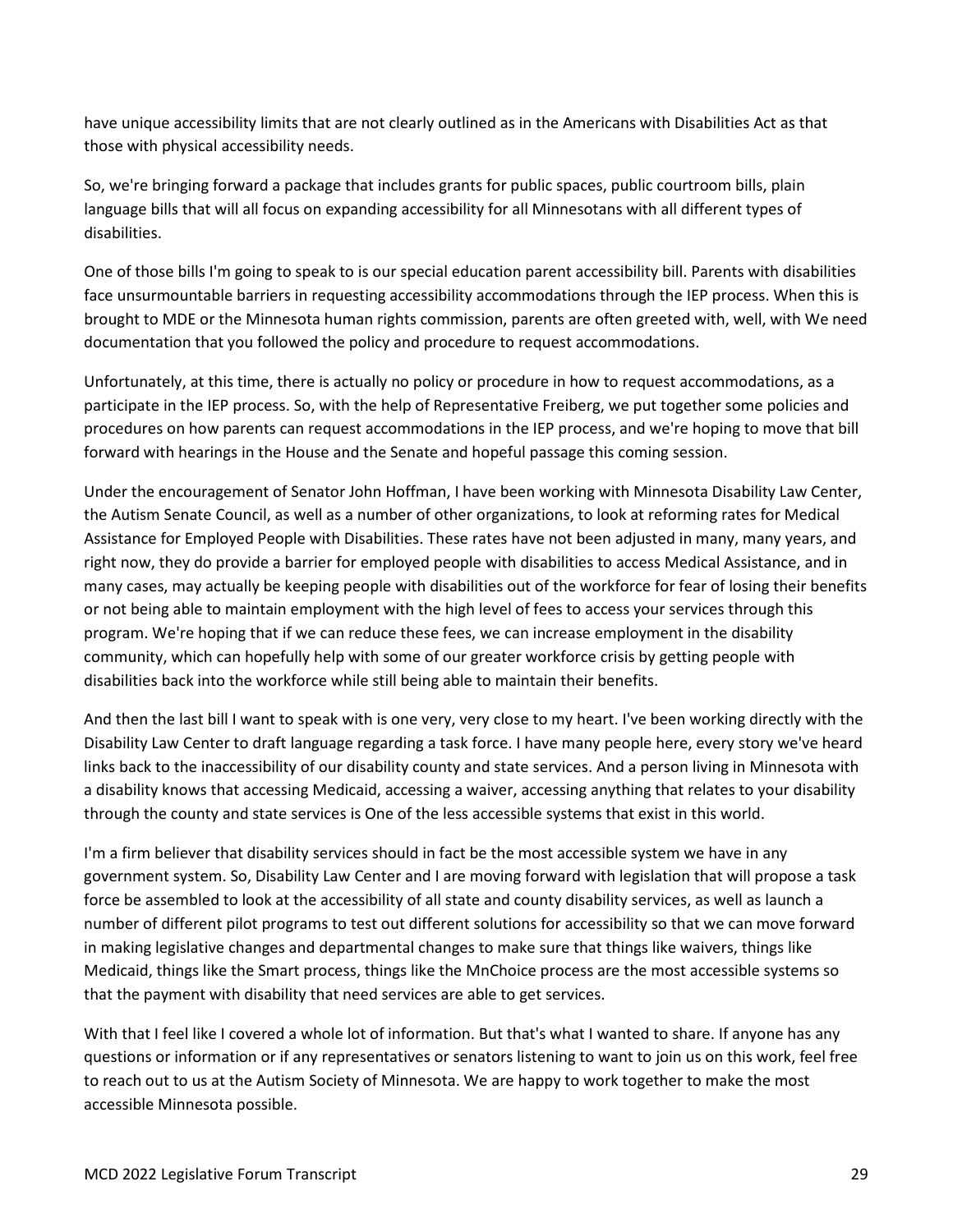have unique accessibility limits that are not clearly outlined as in the Americans with Disabilities Act as that those with physical accessibility needs.

So, we're bringing forward a package that includes grants for public spaces, public courtroom bills, plain language bills that will all focus on expanding accessibility for all Minnesotans with all different types of disabilities.

One of those bills I'm going to speak to is our special education parent accessibility bill. Parents with disabilities face unsurmountable barriers in requesting accessibility accommodations through the IEP process. When this is brought to MDE or the Minnesota human rights commission, parents are often greeted with, well, with We need documentation that you followed the policy and procedure to request accommodations.

Unfortunately, at this time, there is actually no policy or procedure in how to request accommodations, as a participate in the IEP process. So, with the help of Representative Freiberg, we put together some policies and procedures on how parents can request accommodations in the IEP process, and we're hoping to move that bill forward with hearings in the House and the Senate and hopeful passage this coming session.

Under the encouragement of Senator John Hoffman, I have been working with Minnesota Disability Law Center, the Autism Senate Council, as well as a number of other organizations, to look at reforming rates for Medical Assistance for Employed People with Disabilities. These rates have not been adjusted in many, many years, and right now, they do provide a barrier for employed people with disabilities to access Medical Assistance, and in many cases, may actually be keeping people with disabilities out of the workforce for fear of losing their benefits or not being able to maintain employment with the high level of fees to access your services through this program. We're hoping that if we can reduce these fees, we can increase employment in the disability community, which can hopefully help with some of our greater workforce crisis by getting people with disabilities back into the workforce while still being able to maintain their benefits.

And then the last bill I want to speak with is one very, very close to my heart. I've been working directly with the Disability Law Center to draft language regarding a task force. I have many people here, every story we've heard links back to the inaccessibility of our disability county and state services. And a person living in Minnesota with a disability knows that accessing Medicaid, accessing a waiver, accessing anything that relates to your disability through the county and state services is One of the less accessible systems that exist in this world.

I'm a firm believer that disability services should in fact be the most accessible system we have in any government system. So, Disability Law Center and I are moving forward with legislation that will propose a task force be assembled to look at the accessibility of all state and county disability services, as well as launch a number of different pilot programs to test out different solutions for accessibility so that we can move forward in making legislative changes and departmental changes to make sure that things like waivers, things like Medicaid, things like the Smart process, things like the MnChoice process are the most accessible systems so that the payment with disability that need services are able to get services.

With that I feel like I covered a whole lot of information. But that's what I wanted to share. If anyone has any questions or information or if any representatives or senators listening to want to join us on this work, feel free to reach out to us at the Autism Society of Minnesota. We are happy to work together to make the most accessible Minnesota possible.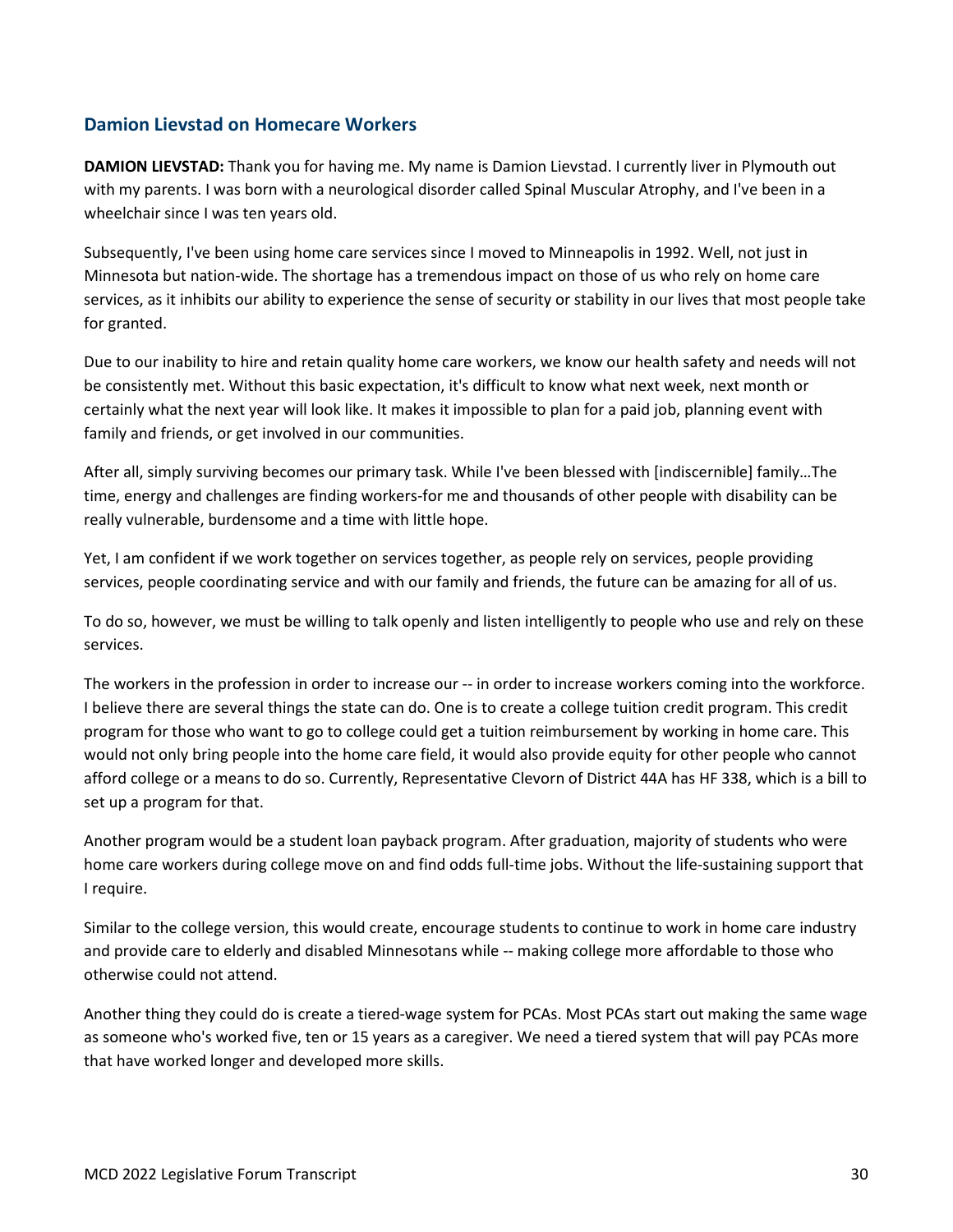## <span id="page-29-0"></span>**Damion Lievstad on Homecare Workers**

**DAMION LIEVSTAD:** Thank you for having me. My name is Damion Lievstad. I currently liver in Plymouth out with my parents. I was born with a neurological disorder called Spinal Muscular Atrophy, and I've been in a wheelchair since I was ten years old.

Subsequently, I've been using home care services since I moved to Minneapolis in 1992. Well, not just in Minnesota but nation-wide. The shortage has a tremendous impact on those of us who rely on home care services, as it inhibits our ability to experience the sense of security or stability in our lives that most people take for granted.

Due to our inability to hire and retain quality home care workers, we know our health safety and needs will not be consistently met. Without this basic expectation, it's difficult to know what next week, next month or certainly what the next year will look like. It makes it impossible to plan for a paid job, planning event with family and friends, or get involved in our communities.

After all, simply surviving becomes our primary task. While I've been blessed with [indiscernible] family…The time, energy and challenges are finding workers-for me and thousands of other people with disability can be really vulnerable, burdensome and a time with little hope.

Yet, I am confident if we work together on services together, as people rely on services, people providing services, people coordinating service and with our family and friends, the future can be amazing for all of us.

To do so, however, we must be willing to talk openly and listen intelligently to people who use and rely on these services.

The workers in the profession in order to increase our -- in order to increase workers coming into the workforce. I believe there are several things the state can do. One is to create a college tuition credit program. This credit program for those who want to go to college could get a tuition reimbursement by working in home care. This would not only bring people into the home care field, it would also provide equity for other people who cannot afford college or a means to do so. Currently, Representative Clevorn of District 44A has HF 338, which is a bill to set up a program for that.

Another program would be a student loan payback program. After graduation, majority of students who were home care workers during college move on and find odds full-time jobs. Without the life-sustaining support that I require.

Similar to the college version, this would create, encourage students to continue to work in home care industry and provide care to elderly and disabled Minnesotans while -- making college more affordable to those who otherwise could not attend.

Another thing they could do is create a tiered-wage system for PCAs. Most PCAs start out making the same wage as someone who's worked five, ten or 15 years as a caregiver. We need a tiered system that will pay PCAs more that have worked longer and developed more skills.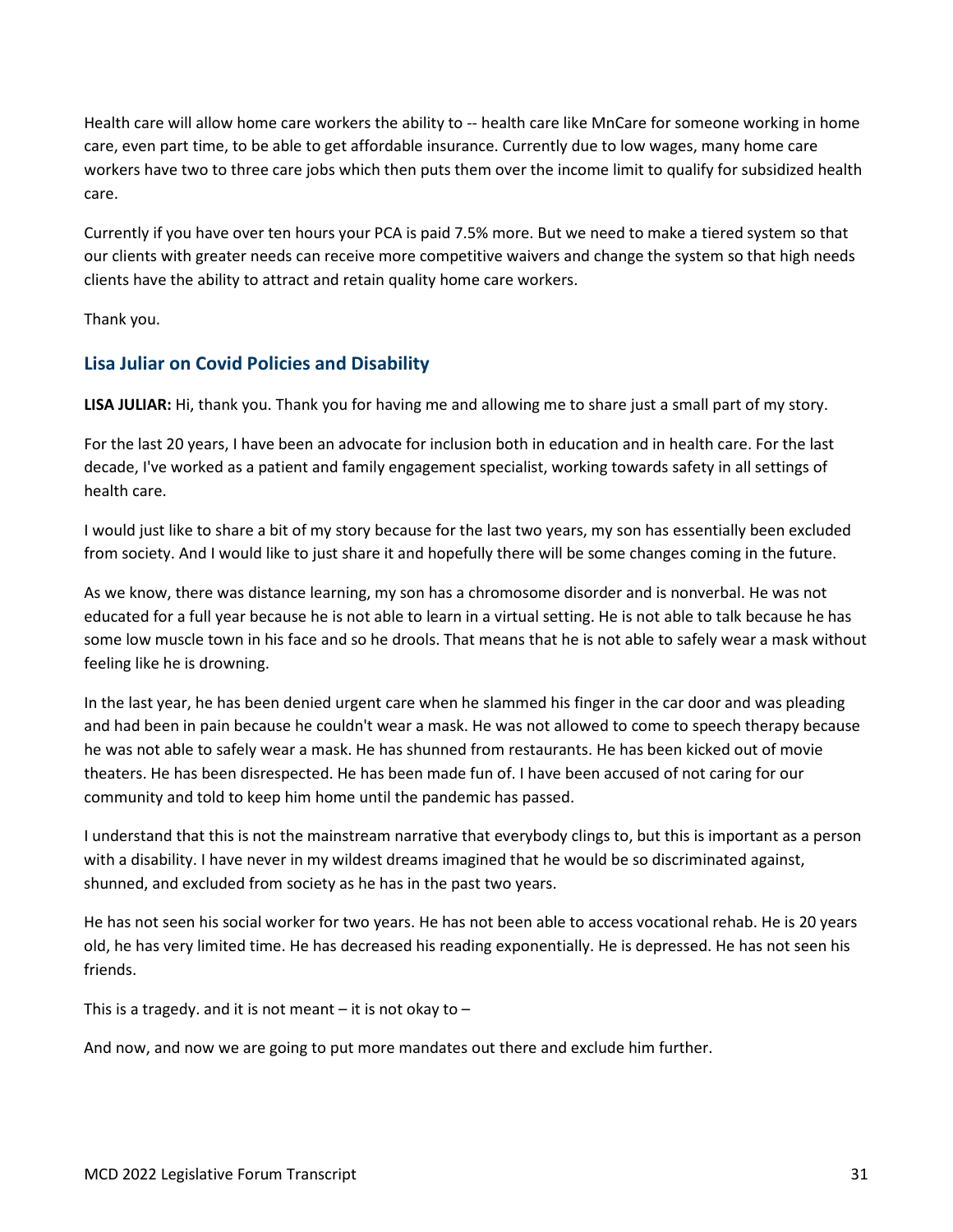Health care will allow home care workers the ability to -- health care like MnCare for someone working in home care, even part time, to be able to get affordable insurance. Currently due to low wages, many home care workers have two to three care jobs which then puts them over the income limit to qualify for subsidized health care.

Currently if you have over ten hours your PCA is paid 7.5% more. But we need to make a tiered system so that our clients with greater needs can receive more competitive waivers and change the system so that high needs clients have the ability to attract and retain quality home care workers.

Thank you.

## <span id="page-30-0"></span>**Lisa Juliar on Covid Policies and Disability**

**LISA JULIAR:** Hi, thank you. Thank you for having me and allowing me to share just a small part of my story.

For the last 20 years, I have been an advocate for inclusion both in education and in health care. For the last decade, I've worked as a patient and family engagement specialist, working towards safety in all settings of health care.

I would just like to share a bit of my story because for the last two years, my son has essentially been excluded from society. And I would like to just share it and hopefully there will be some changes coming in the future.

As we know, there was distance learning, my son has a chromosome disorder and is nonverbal. He was not educated for a full year because he is not able to learn in a virtual setting. He is not able to talk because he has some low muscle town in his face and so he drools. That means that he is not able to safely wear a mask without feeling like he is drowning.

In the last year, he has been denied urgent care when he slammed his finger in the car door and was pleading and had been in pain because he couldn't wear a mask. He was not allowed to come to speech therapy because he was not able to safely wear a mask. He has shunned from restaurants. He has been kicked out of movie theaters. He has been disrespected. He has been made fun of. I have been accused of not caring for our community and told to keep him home until the pandemic has passed.

I understand that this is not the mainstream narrative that everybody clings to, but this is important as a person with a disability. I have never in my wildest dreams imagined that he would be so discriminated against, shunned, and excluded from society as he has in the past two years.

He has not seen his social worker for two years. He has not been able to access vocational rehab. He is 20 years old, he has very limited time. He has decreased his reading exponentially. He is depressed. He has not seen his friends.

This is a tragedy. and it is not meant  $-$  it is not okay to  $-$ 

And now, and now we are going to put more mandates out there and exclude him further.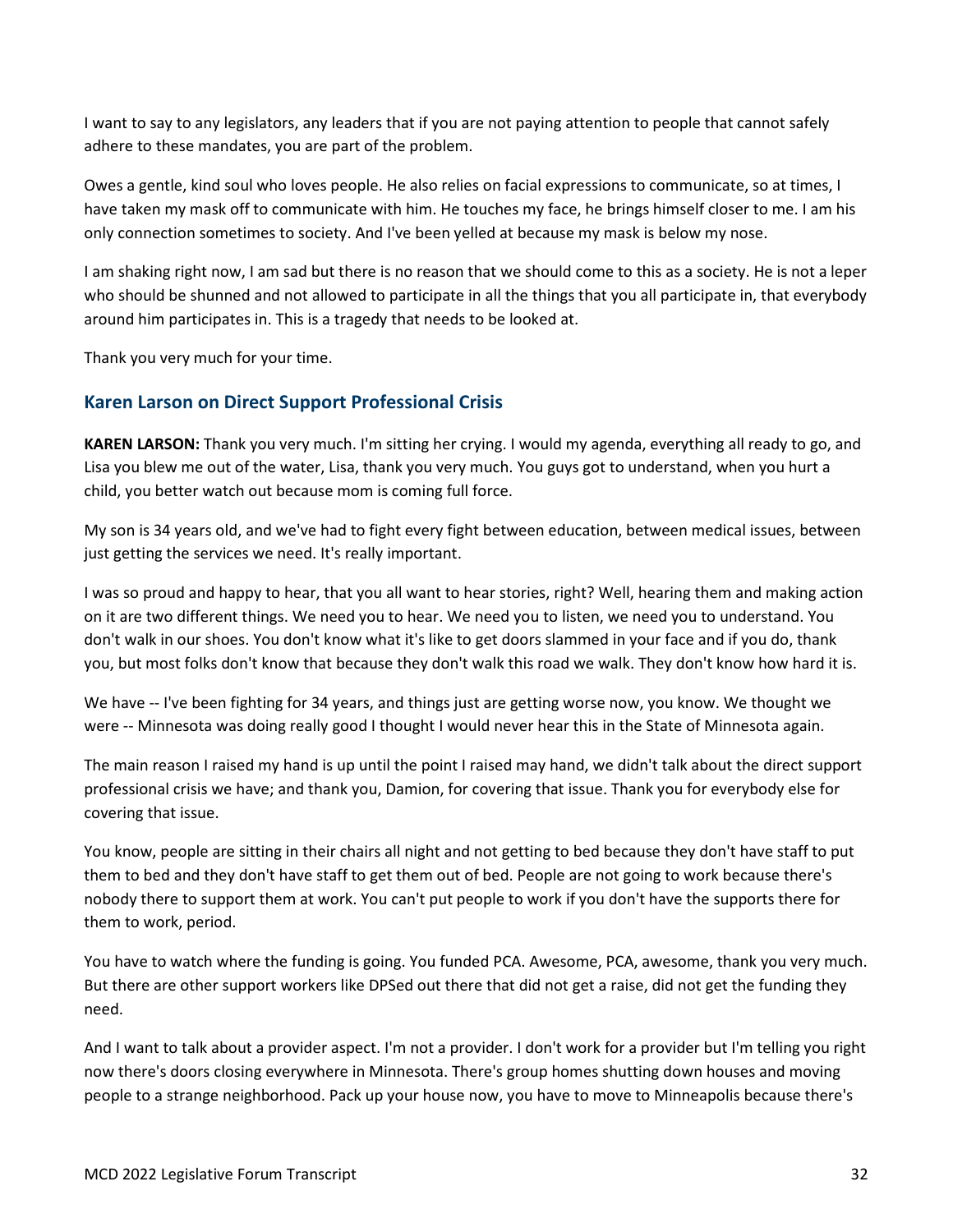I want to say to any legislators, any leaders that if you are not paying attention to people that cannot safely adhere to these mandates, you are part of the problem.

Owes a gentle, kind soul who loves people. He also relies on facial expressions to communicate, so at times, I have taken my mask off to communicate with him. He touches my face, he brings himself closer to me. I am his only connection sometimes to society. And I've been yelled at because my mask is below my nose.

I am shaking right now, I am sad but there is no reason that we should come to this as a society. He is not a leper who should be shunned and not allowed to participate in all the things that you all participate in, that everybody around him participates in. This is a tragedy that needs to be looked at.

Thank you very much for your time.

## <span id="page-31-0"></span>**Karen Larson on Direct Support Professional Crisis**

**KAREN LARSON:** Thank you very much. I'm sitting her crying. I would my agenda, everything all ready to go, and Lisa you blew me out of the water, Lisa, thank you very much. You guys got to understand, when you hurt a child, you better watch out because mom is coming full force.

My son is 34 years old, and we've had to fight every fight between education, between medical issues, between just getting the services we need. It's really important.

I was so proud and happy to hear, that you all want to hear stories, right? Well, hearing them and making action on it are two different things. We need you to hear. We need you to listen, we need you to understand. You don't walk in our shoes. You don't know what it's like to get doors slammed in your face and if you do, thank you, but most folks don't know that because they don't walk this road we walk. They don't know how hard it is.

We have -- I've been fighting for 34 years, and things just are getting worse now, you know. We thought we were -- Minnesota was doing really good I thought I would never hear this in the State of Minnesota again.

The main reason I raised my hand is up until the point I raised may hand, we didn't talk about the direct support professional crisis we have; and thank you, Damion, for covering that issue. Thank you for everybody else for covering that issue.

You know, people are sitting in their chairs all night and not getting to bed because they don't have staff to put them to bed and they don't have staff to get them out of bed. People are not going to work because there's nobody there to support them at work. You can't put people to work if you don't have the supports there for them to work, period.

You have to watch where the funding is going. You funded PCA. Awesome, PCA, awesome, thank you very much. But there are other support workers like DPSed out there that did not get a raise, did not get the funding they need.

And I want to talk about a provider aspect. I'm not a provider. I don't work for a provider but I'm telling you right now there's doors closing everywhere in Minnesota. There's group homes shutting down houses and moving people to a strange neighborhood. Pack up your house now, you have to move to Minneapolis because there's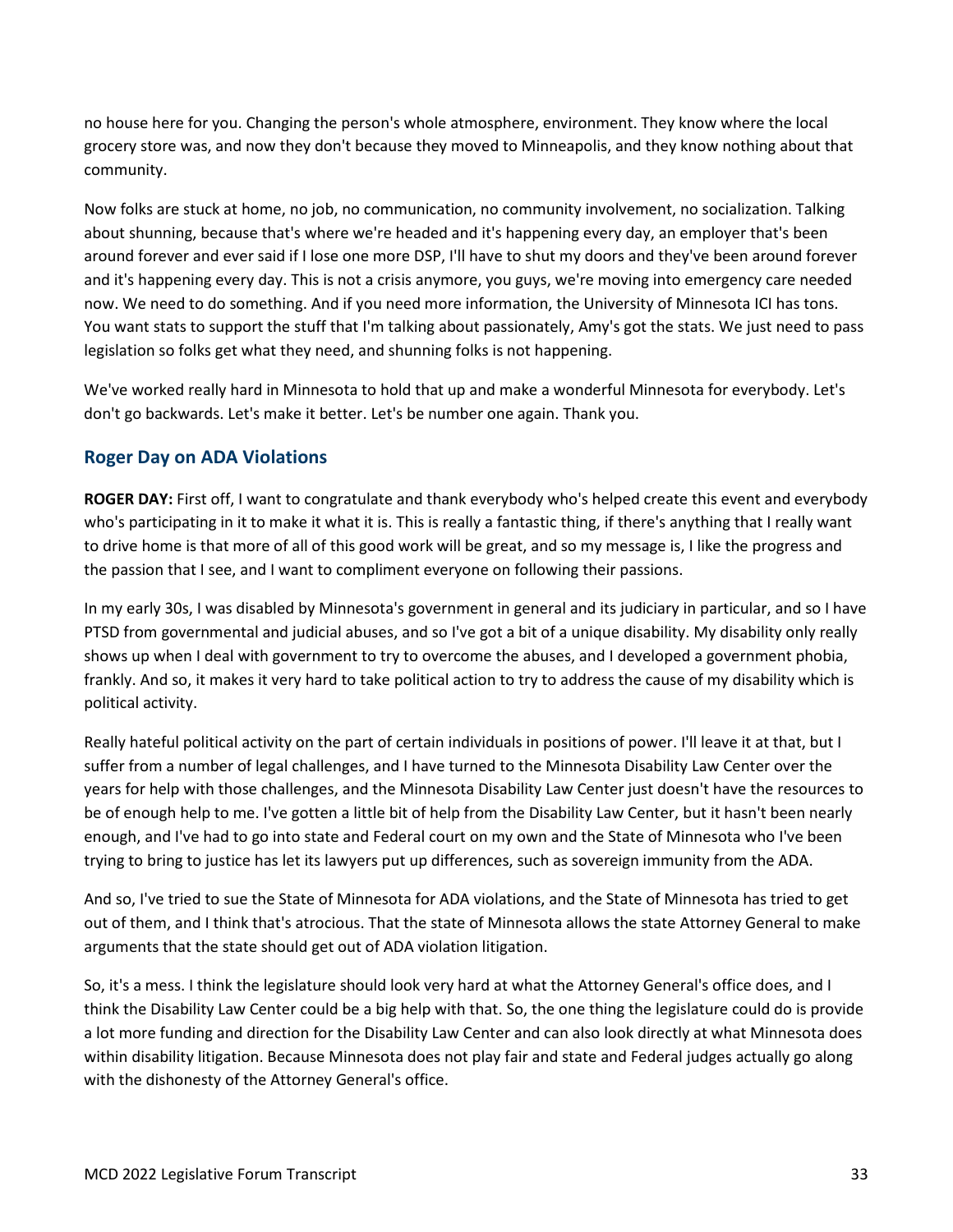no house here for you. Changing the person's whole atmosphere, environment. They know where the local grocery store was, and now they don't because they moved to Minneapolis, and they know nothing about that community.

Now folks are stuck at home, no job, no communication, no community involvement, no socialization. Talking about shunning, because that's where we're headed and it's happening every day, an employer that's been around forever and ever said if I lose one more DSP, I'll have to shut my doors and they've been around forever and it's happening every day. This is not a crisis anymore, you guys, we're moving into emergency care needed now. We need to do something. And if you need more information, the University of Minnesota ICI has tons. You want stats to support the stuff that I'm talking about passionately, Amy's got the stats. We just need to pass legislation so folks get what they need, and shunning folks is not happening.

We've worked really hard in Minnesota to hold that up and make a wonderful Minnesota for everybody. Let's don't go backwards. Let's make it better. Let's be number one again. Thank you.

## <span id="page-32-0"></span>**Roger Day on ADA Violations**

**ROGER DAY:** First off, I want to congratulate and thank everybody who's helped create this event and everybody who's participating in it to make it what it is. This is really a fantastic thing, if there's anything that I really want to drive home is that more of all of this good work will be great, and so my message is, I like the progress and the passion that I see, and I want to compliment everyone on following their passions.

In my early 30s, I was disabled by Minnesota's government in general and its judiciary in particular, and so I have PTSD from governmental and judicial abuses, and so I've got a bit of a unique disability. My disability only really shows up when I deal with government to try to overcome the abuses, and I developed a government phobia, frankly. And so, it makes it very hard to take political action to try to address the cause of my disability which is political activity.

Really hateful political activity on the part of certain individuals in positions of power. I'll leave it at that, but I suffer from a number of legal challenges, and I have turned to the Minnesota Disability Law Center over the years for help with those challenges, and the Minnesota Disability Law Center just doesn't have the resources to be of enough help to me. I've gotten a little bit of help from the Disability Law Center, but it hasn't been nearly enough, and I've had to go into state and Federal court on my own and the State of Minnesota who I've been trying to bring to justice has let its lawyers put up differences, such as sovereign immunity from the ADA.

And so, I've tried to sue the State of Minnesota for ADA violations, and the State of Minnesota has tried to get out of them, and I think that's atrocious. That the state of Minnesota allows the state Attorney General to make arguments that the state should get out of ADA violation litigation.

So, it's a mess. I think the legislature should look very hard at what the Attorney General's office does, and I think the Disability Law Center could be a big help with that. So, the one thing the legislature could do is provide a lot more funding and direction for the Disability Law Center and can also look directly at what Minnesota does within disability litigation. Because Minnesota does not play fair and state and Federal judges actually go along with the dishonesty of the Attorney General's office.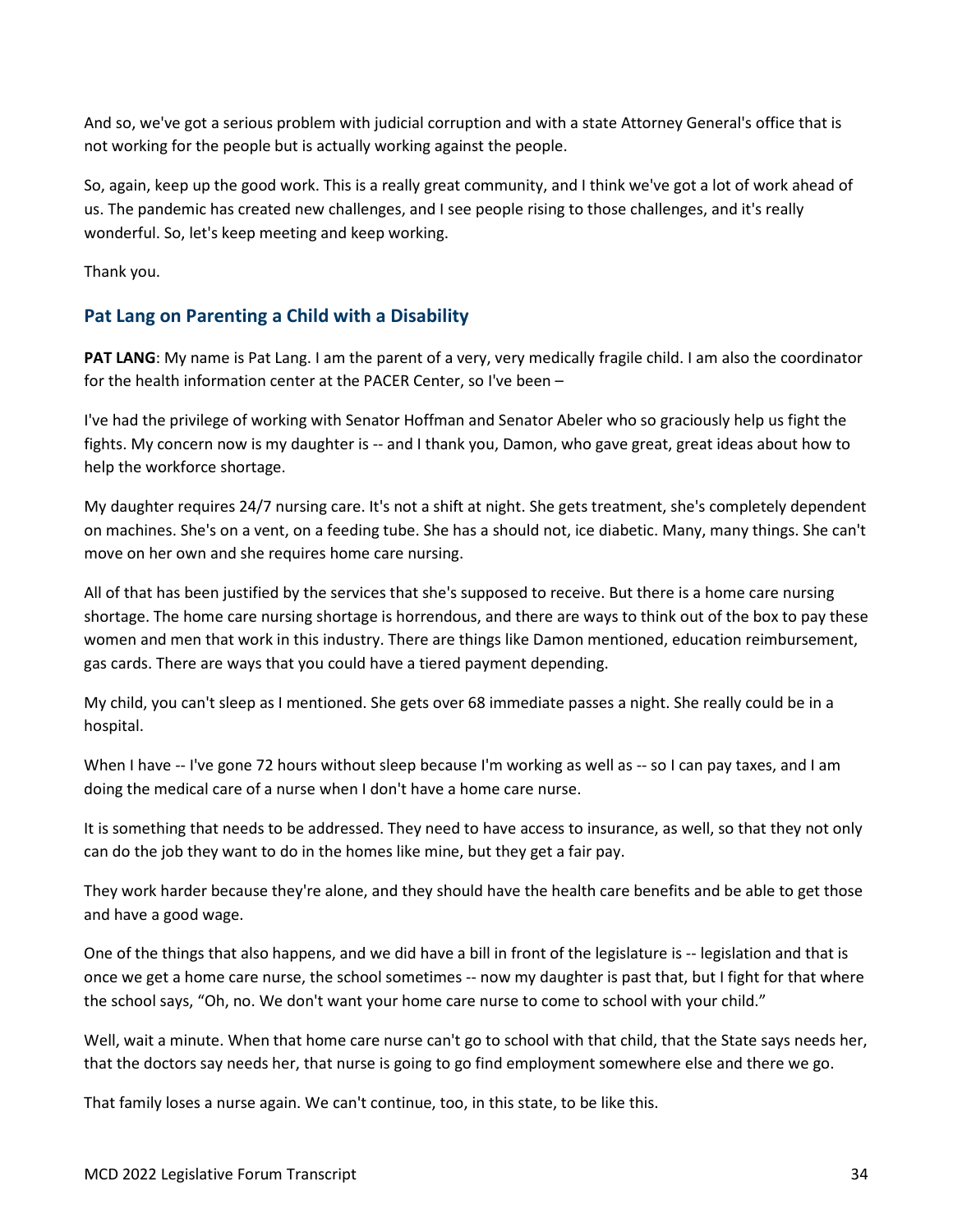And so, we've got a serious problem with judicial corruption and with a state Attorney General's office that is not working for the people but is actually working against the people.

So, again, keep up the good work. This is a really great community, and I think we've got a lot of work ahead of us. The pandemic has created new challenges, and I see people rising to those challenges, and it's really wonderful. So, let's keep meeting and keep working.

Thank you.

## <span id="page-33-0"></span>**Pat Lang on Parenting a Child with a Disability**

**PAT LANG**: My name is Pat Lang. I am the parent of a very, very medically fragile child. I am also the coordinator for the health information center at the PACER Center, so I've been –

I've had the privilege of working with Senator Hoffman and Senator Abeler who so graciously help us fight the fights. My concern now is my daughter is -- and I thank you, Damon, who gave great, great ideas about how to help the workforce shortage.

My daughter requires 24/7 nursing care. It's not a shift at night. She gets treatment, she's completely dependent on machines. She's on a vent, on a feeding tube. She has a should not, ice diabetic. Many, many things. She can't move on her own and she requires home care nursing.

All of that has been justified by the services that she's supposed to receive. But there is a home care nursing shortage. The home care nursing shortage is horrendous, and there are ways to think out of the box to pay these women and men that work in this industry. There are things like Damon mentioned, education reimbursement, gas cards. There are ways that you could have a tiered payment depending.

My child, you can't sleep as I mentioned. She gets over 68 immediate passes a night. She really could be in a hospital.

When I have -- I've gone 72 hours without sleep because I'm working as well as -- so I can pay taxes, and I am doing the medical care of a nurse when I don't have a home care nurse.

It is something that needs to be addressed. They need to have access to insurance, as well, so that they not only can do the job they want to do in the homes like mine, but they get a fair pay.

They work harder because they're alone, and they should have the health care benefits and be able to get those and have a good wage.

One of the things that also happens, and we did have a bill in front of the legislature is -- legislation and that is once we get a home care nurse, the school sometimes -- now my daughter is past that, but I fight for that where the school says, "Oh, no. We don't want your home care nurse to come to school with your child."

Well, wait a minute. When that home care nurse can't go to school with that child, that the State says needs her, that the doctors say needs her, that nurse is going to go find employment somewhere else and there we go.

That family loses a nurse again. We can't continue, too, in this state, to be like this.